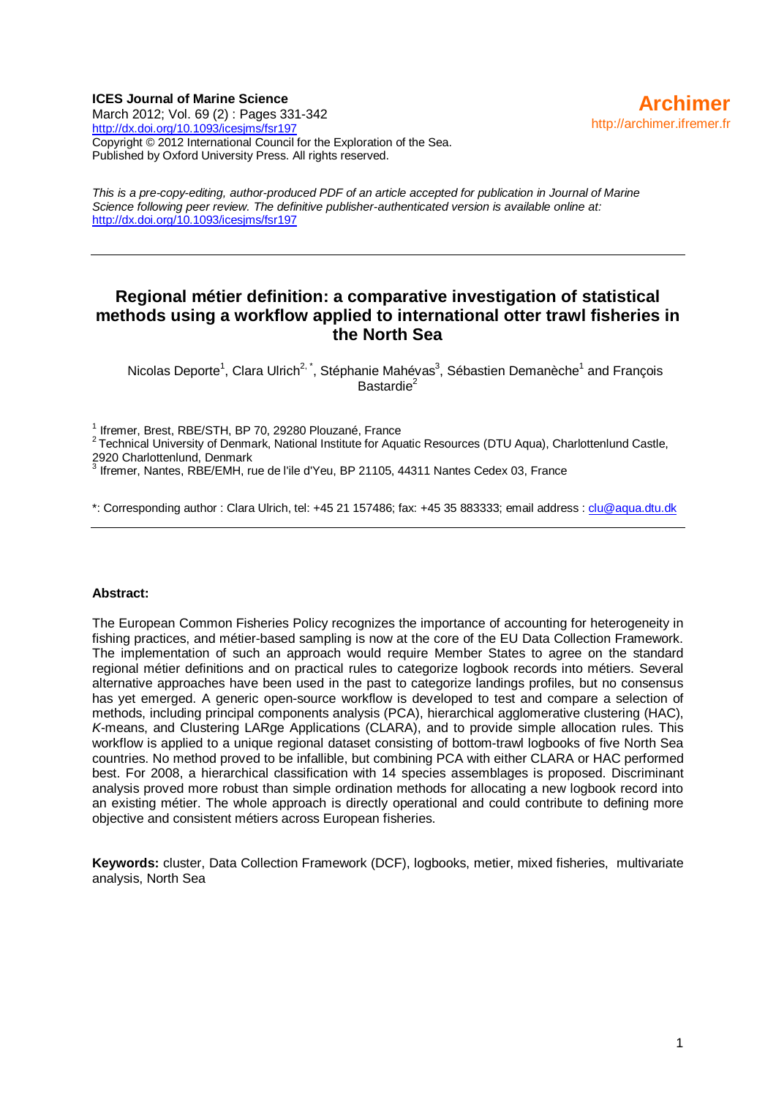#### **ICES Journal of Marine Science**

March 2012; Vol. 69 (2) : Pages 331-342 <http://dx.doi.org/10.1093/icesjms/fsr197> Copyright © 2012 International Council for the Exploration of the Sea. Published by Oxford University Press. All rights reserved.

*This is a pre-copy-editing, author-produced PDF of an article accepted for publication in Journal of Marine Science following peer review. The definitive publisher-authenticated version is available online at:*  <http://dx.doi.org/10.1093/icesjms/fsr197>

## **Regional métier definition: a comparative investigation of statistical methods using a workflow applied to international otter trawl fisheries in the North Sea**

Nicolas Deporte<sup>1</sup>, Clara Ulrich<sup>2, \*</sup>, Stéphanie Mahévas<sup>3</sup>, Sébastien Demanèche<sup>1</sup> and François Bastardie<sup>2</sup>

<sup>1</sup> Ifremer, Brest, RBE/STH, BP 70, 29280 Plouzané, France<br><sup>2</sup> Technical University of Denmark, National Institute for Aquatic Resources (DTU Aqua), Charlottenlund Castle, 2920 Charlottenlund, Denmark

 $^3$  Ifremer, Nantes, RBE/EMH, rue de l'ile d'Yeu, BP 21105, 44311 Nantes Cedex 03, France

\*: Corresponding author : Clara Ulrich, tel: +45 21 157486; fax: +45 35 883333; email address [: clu@aqua.dtu.dk](mailto:clu@aqua.dtu.dk)

#### **Abstract:**

The European Common Fisheries Policy recognizes the importance of accounting for heterogeneity in fishing practices, and métier-based sampling is now at the core of the EU Data Collection Framework. The implementation of such an approach would require Member States to agree on the standard regional métier definitions and on practical rules to categorize logbook records into métiers. Several alternative approaches have been used in the past to categorize landings profiles, but no consensus has yet emerged. A generic open-source workflow is developed to test and compare a selection of methods, including principal components analysis (PCA), hierarchical agglomerative clustering (HAC), *K*-means, and Clustering LARge Applications (CLARA), and to provide simple allocation rules. This workflow is applied to a unique regional dataset consisting of bottom-trawl logbooks of five North Sea countries. No method proved to be infallible, but combining PCA with either CLARA or HAC performed best. For 2008, a hierarchical classification with 14 species assemblages is proposed. Discriminant analysis proved more robust than simple ordination methods for allocating a new logbook record into an existing métier. The whole approach is directly operational and could contribute to defining more objective and consistent métiers across European fisheries.

**Keywords:** cluster, Data Collection Framework (DCF), logbooks, metier, mixed fisheries, multivariate analysis, North Sea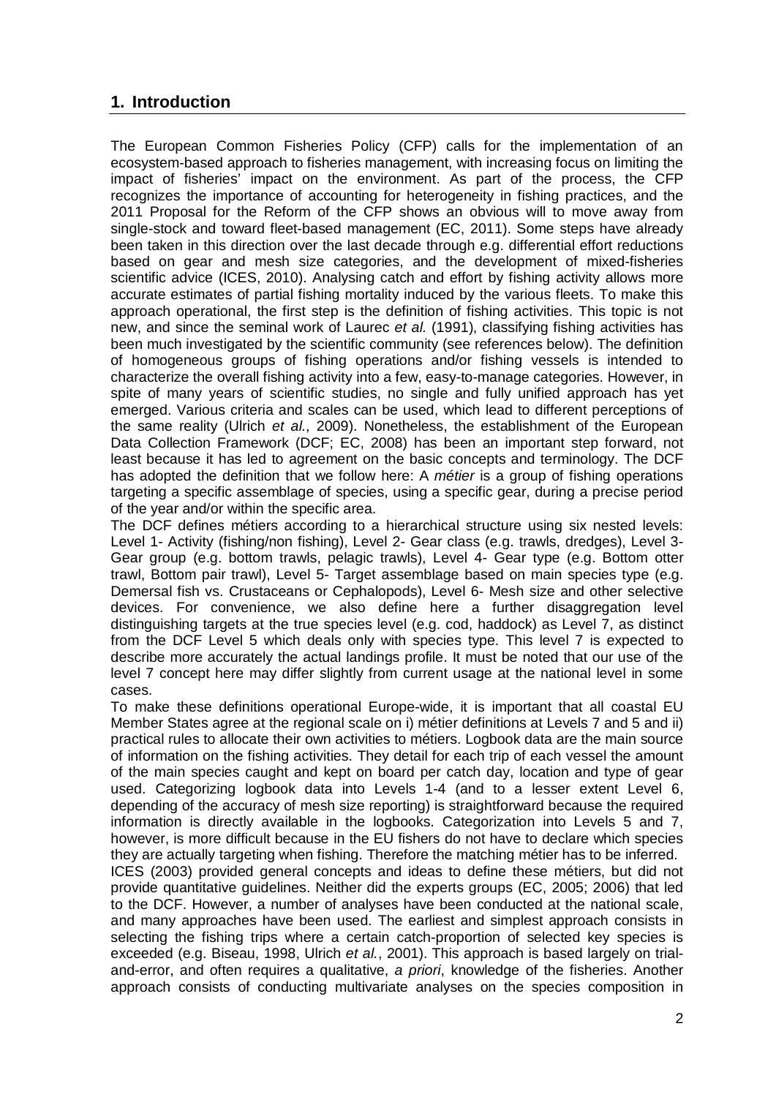# **1. Introduction**

The European Common Fisheries Policy (CFP) calls for the implementation of an ecosystem-based approach to fisheries management, with increasing focus on limiting the impact of fisheries' impact on the environment. As part of the process, the CFP recognizes the importance of accounting for heterogeneity in fishing practices, and the 2011 Proposal for the Reform of the CFP shows an obvious will to move away from single-stock and toward fleet-based management (EC, 2011). Some steps have already been taken in this direction over the last decade through e.g. differential effort reductions based on gear and mesh size categories, and the development of mixed-fisheries scientific advice (ICES, 2010). Analysing catch and effort by fishing activity allows more accurate estimates of partial fishing mortality induced by the various fleets. To make this approach operational, the first step is the definition of fishing activities. This topic is not new, and since the seminal work of Laurec *et al.* (1991), classifying fishing activities has been much investigated by the scientific community (see references below). The definition of homogeneous groups of fishing operations and/or fishing vessels is intended to characterize the overall fishing activity into a few, easy-to-manage categories. However, in spite of many years of scientific studies, no single and fully unified approach has yet emerged. Various criteria and scales can be used, which lead to different perceptions of the same reality (Ulrich *et al.*, 2009). Nonetheless, the establishment of the European Data Collection Framework (DCF; EC, 2008) has been an important step forward, not least because it has led to agreement on the basic concepts and terminology. The DCF has adopted the definition that we follow here: A *métier* is a group of fishing operations targeting a specific assemblage of species, using a specific gear, during a precise period of the year and/or within the specific area.

The DCF defines métiers according to a hierarchical structure using six nested levels: Level 1- Activity (fishing/non fishing), Level 2- Gear class (e.g. trawls, dredges), Level 3- Gear group (e.g. bottom trawls, pelagic trawls), Level 4- Gear type (e.g. Bottom otter trawl, Bottom pair trawl), Level 5- Target assemblage based on main species type (e.g. Demersal fish vs. Crustaceans or Cephalopods), Level 6- Mesh size and other selective devices. For convenience, we also define here a further disaggregation level distinguishing targets at the true species level (e.g. cod, haddock) as Level 7, as distinct from the DCF Level 5 which deals only with species type. This level 7 is expected to describe more accurately the actual landings profile. It must be noted that our use of the level 7 concept here may differ slightly from current usage at the national level in some cases.

To make these definitions operational Europe-wide, it is important that all coastal EU Member States agree at the regional scale on i) métier definitions at Levels 7 and 5 and ii) practical rules to allocate their own activities to métiers. Logbook data are the main source of information on the fishing activities. They detail for each trip of each vessel the amount of the main species caught and kept on board per catch day, location and type of gear used. Categorizing logbook data into Levels 1-4 (and to a lesser extent Level 6, depending of the accuracy of mesh size reporting) is straightforward because the required information is directly available in the logbooks. Categorization into Levels 5 and 7, however, is more difficult because in the EU fishers do not have to declare which species they are actually targeting when fishing. Therefore the matching métier has to be inferred.

ICES (2003) provided general concepts and ideas to define these métiers, but did not provide quantitative guidelines. Neither did the experts groups (EC, 2005; 2006) that led to the DCF. However, a number of analyses have been conducted at the national scale, and many approaches have been used. The earliest and simplest approach consists in selecting the fishing trips where a certain catch-proportion of selected key species is exceeded (e.g. Biseau, 1998, Ulrich *et al.*, 2001). This approach is based largely on trialand-error, and often requires a qualitative, *a priori*, knowledge of the fisheries. Another approach consists of conducting multivariate analyses on the species composition in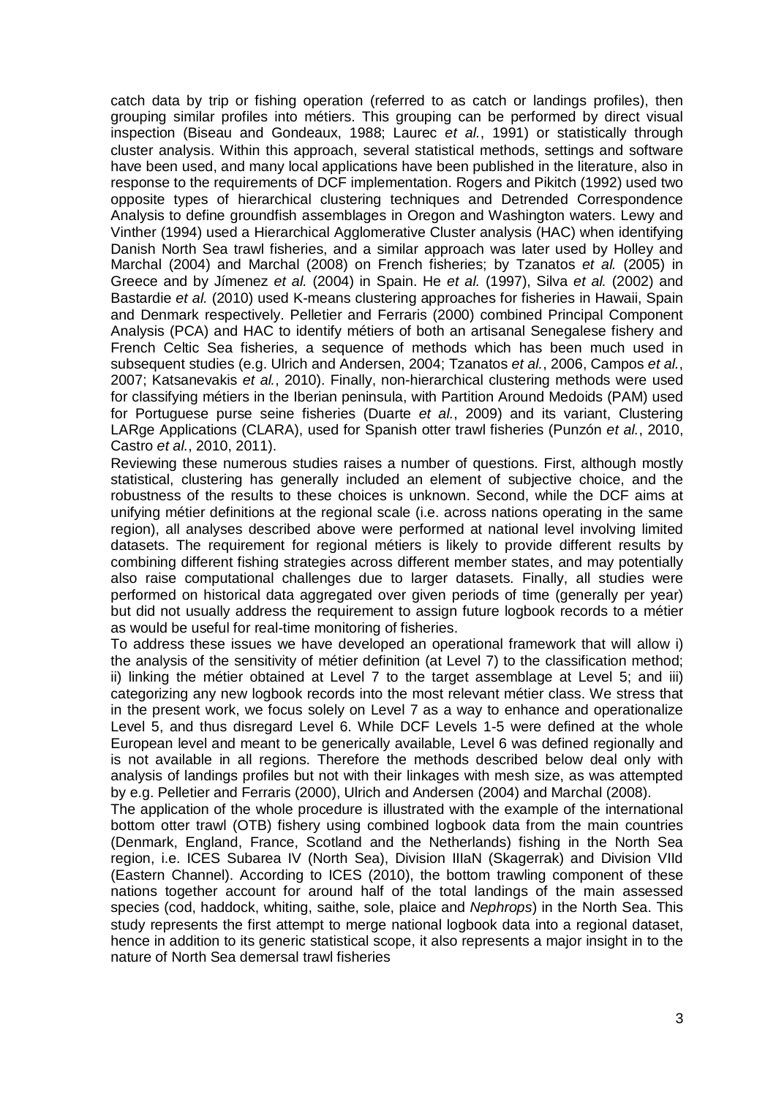catch data by trip or fishing operation (referred to as catch or landings profiles), then grouping similar profiles into métiers. This grouping can be performed by direct visual inspection (Biseau and Gondeaux, 1988; Laurec *et al.*, 1991) or statistically through cluster analysis. Within this approach, several statistical methods, settings and software have been used, and many local applications have been published in the literature, also in response to the requirements of DCF implementation. Rogers and Pikitch (1992) used two opposite types of hierarchical clustering techniques and Detrended Correspondence Analysis to define groundfish assemblages in Oregon and Washington waters. Lewy and Vinther (1994) used a Hierarchical Agglomerative Cluster analysis (HAC) when identifying Danish North Sea trawl fisheries, and a similar approach was later used by Holley and Marchal (2004) and Marchal (2008) on French fisheries; by Tzanatos *et al.* (2005) in Greece and by Jímenez *et al.* (2004) in Spain. He *et al.* (1997), Silva *et al.* (2002) and Bastardie *et al.* (2010) used K-means clustering approaches for fisheries in Hawaii, Spain and Denmark respectively. Pelletier and Ferraris (2000) combined Principal Component Analysis (PCA) and HAC to identify métiers of both an artisanal Senegalese fishery and French Celtic Sea fisheries, a sequence of methods which has been much used in subsequent studies (e.g. Ulrich and Andersen, 2004; Tzanatos *et al.*, 2006, Campos *et al.*, 2007; Katsanevakis *et al.*, 2010). Finally, non-hierarchical clustering methods were used for classifying métiers in the Iberian peninsula, with Partition Around Medoids (PAM) used for Portuguese purse seine fisheries (Duarte *et al.*, 2009) and its variant, Clustering LARge Applications (CLARA), used for Spanish otter trawl fisheries (Punzón *et al.*, 2010, Castro *et al.*, 2010, 2011).

Reviewing these numerous studies raises a number of questions. First, although mostly statistical, clustering has generally included an element of subjective choice, and the robustness of the results to these choices is unknown. Second, while the DCF aims at unifying métier definitions at the regional scale (i.e. across nations operating in the same region), all analyses described above were performed at national level involving limited datasets. The requirement for regional métiers is likely to provide different results by combining different fishing strategies across different member states, and may potentially also raise computational challenges due to larger datasets. Finally, all studies were performed on historical data aggregated over given periods of time (generally per year) but did not usually address the requirement to assign future logbook records to a métier as would be useful for real-time monitoring of fisheries.

To address these issues we have developed an operational framework that will allow i) the analysis of the sensitivity of métier definition (at Level 7) to the classification method; ii) linking the métier obtained at Level 7 to the target assemblage at Level 5; and iii) categorizing any new logbook records into the most relevant métier class. We stress that in the present work, we focus solely on Level 7 as a way to enhance and operationalize Level 5, and thus disregard Level 6. While DCF Levels 1-5 were defined at the whole European level and meant to be generically available, Level 6 was defined regionally and is not available in all regions. Therefore the methods described below deal only with analysis of landings profiles but not with their linkages with mesh size, as was attempted by e.g. Pelletier and Ferraris (2000), Ulrich and Andersen (2004) and Marchal (2008).

The application of the whole procedure is illustrated with the example of the international bottom otter trawl (OTB) fishery using combined logbook data from the main countries (Denmark, England, France, Scotland and the Netherlands) fishing in the North Sea region, i.e. ICES Subarea IV (North Sea), Division IIIaN (Skagerrak) and Division VIId (Eastern Channel). According to ICES (2010), the bottom trawling component of these nations together account for around half of the total landings of the main assessed species (cod, haddock, whiting, saithe, sole, plaice and *Nephrops*) in the North Sea. This study represents the first attempt to merge national logbook data into a regional dataset, hence in addition to its generic statistical scope, it also represents a major insight in to the nature of North Sea demersal trawl fisheries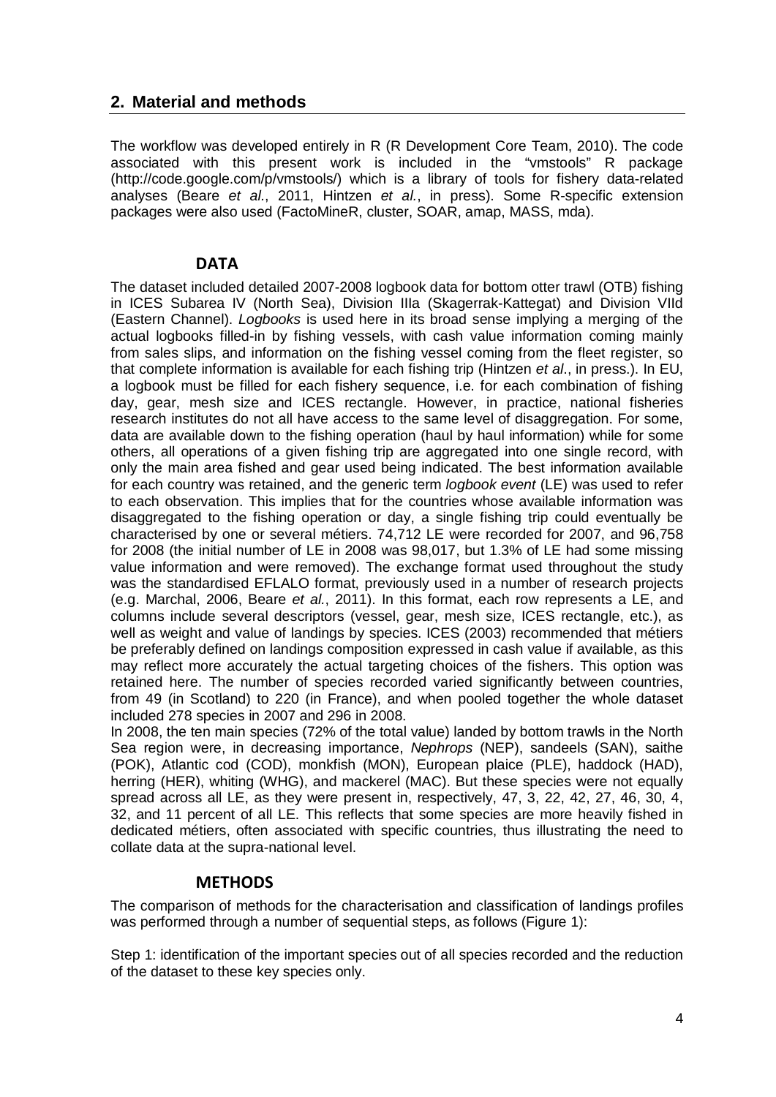# **2. Material and methods**

The workflow was developed entirely in R (R Development Core Team, 2010). The code associated with this present work is included in the "vmstools" R package (http://code.google.com/p/vmstools/) which is a library of tools for fishery data-related analyses (Beare *et al.*, 2011, Hintzen *et al.*, in press). Some R-specific extension packages were also used (FactoMineR, cluster, SOAR, amap, MASS, mda).

### **DATA**

The dataset included detailed 2007-2008 logbook data for bottom otter trawl (OTB) fishing in ICES Subarea IV (North Sea), Division IIIa (Skagerrak-Kattegat) and Division VIId (Eastern Channel). *Logbooks* is used here in its broad sense implying a merging of the actual logbooks filled-in by fishing vessels, with cash value information coming mainly from sales slips, and information on the fishing vessel coming from the fleet register, so that complete information is available for each fishing trip (Hintzen *et al*., in press.). In EU, a logbook must be filled for each fishery sequence, i.e. for each combination of fishing day, gear, mesh size and ICES rectangle. However, in practice, national fisheries research institutes do not all have access to the same level of disaggregation. For some, data are available down to the fishing operation (haul by haul information) while for some others, all operations of a given fishing trip are aggregated into one single record, with only the main area fished and gear used being indicated. The best information available for each country was retained, and the generic term *logbook event* (LE) was used to refer to each observation. This implies that for the countries whose available information was disaggregated to the fishing operation or day, a single fishing trip could eventually be characterised by one or several métiers. 74,712 LE were recorded for 2007, and 96,758 for 2008 (the initial number of LE in 2008 was 98,017, but 1.3% of LE had some missing value information and were removed). The exchange format used throughout the study was the standardised EFLALO format, previously used in a number of research projects (e.g. Marchal, 2006, Beare *et al.*, 2011). In this format, each row represents a LE, and columns include several descriptors (vessel, gear, mesh size, ICES rectangle, etc.), as well as weight and value of landings by species. ICES (2003) recommended that métiers be preferably defined on landings composition expressed in cash value if available, as this may reflect more accurately the actual targeting choices of the fishers. This option was retained here. The number of species recorded varied significantly between countries, from 49 (in Scotland) to 220 (in France), and when pooled together the whole dataset included 278 species in 2007 and 296 in 2008.

In 2008, the ten main species (72% of the total value) landed by bottom trawls in the North Sea region were, in decreasing importance, *Nephrops* (NEP), sandeels (SAN), saithe (POK), Atlantic cod (COD), monkfish (MON), European plaice (PLE), haddock (HAD), herring (HER), whiting (WHG), and mackerel (MAC). But these species were not equally spread across all LE, as they were present in, respectively, 47, 3, 22, 42, 27, 46, 30, 4, 32, and 11 percent of all LE. This reflects that some species are more heavily fished in dedicated métiers, often associated with specific countries, thus illustrating the need to collate data at the supra-national level.

### **METHODS**

The comparison of methods for the characterisation and classification of landings profiles was performed through a number of sequential steps, as follows (Figure 1):

Step 1: identification of the important species out of all species recorded and the reduction of the dataset to these key species only.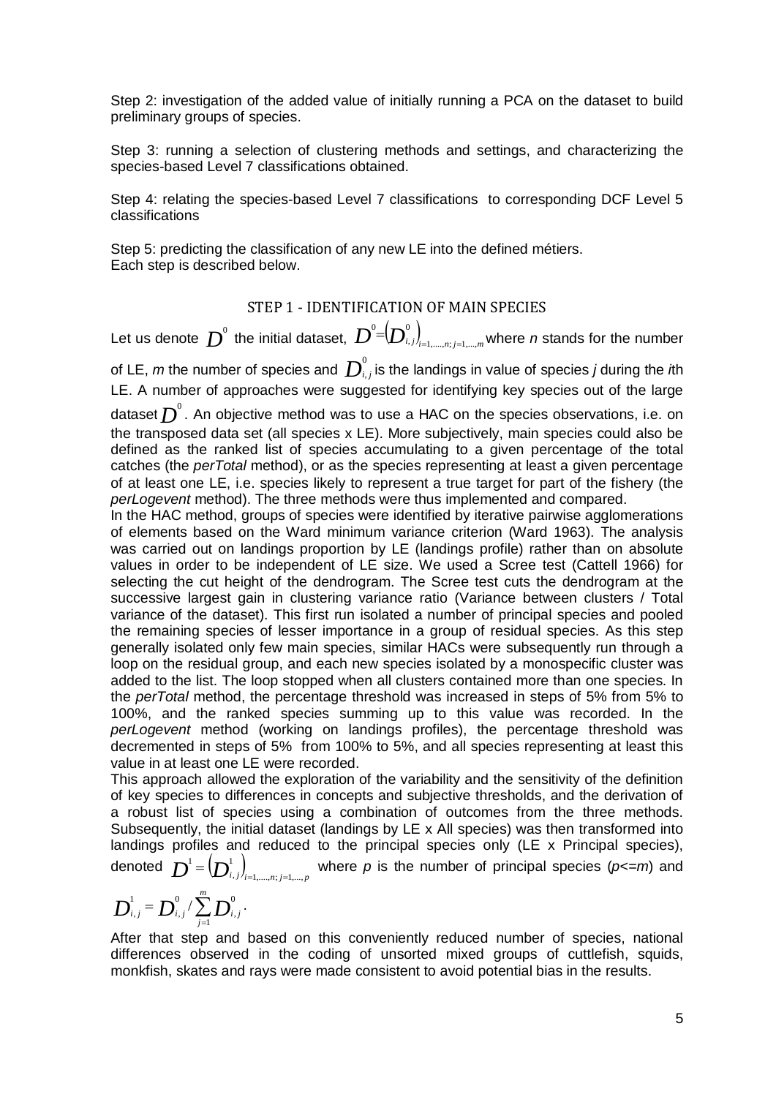Step 2: investigation of the added value of initially running a PCA on the dataset to build preliminary groups of species.

Step 3: running a selection of clustering methods and settings, and characterizing the species-based Level 7 classifications obtained.

Step 4: relating the species-based Level 7 classifications to corresponding DCF Level 5 classifications

Step 5: predicting the classification of any new LE into the defined métiers. Each step is described below.

#### STEP 1 - IDENTIFICATION OF MAIN SPECIES

Let us denote  $\left. D^{\scriptscriptstyle 0} \right.$  the initial dataset,  $\left. D^{\scriptscriptstyle 0}\text {=}\!\!\left( D^{\scriptscriptstyle 0}_{\scriptscriptstyle i,j}\right)_{\scriptscriptstyle i=1,\scriptscriptstyle \ldots, n; \, j=1,\ldots, m}$ , 0 == <sup>=</sup> where *<sup>n</sup>* stands for the number of LE,  $m$  the number of species and  $\left. \bm{D}^0_{i,j} \right.$  is the landings in value of species  $j$  during the *i*th LE. A number of approaches were suggested for identifying key species out of the large dataset  $\overline{D}^{\raisebox{0.5mm}{\tiny o}}$  . An objective method was to use a HAC on the species observations, i.e. on the transposed data set (all species x LE). More subjectively, main species could also be defined as the ranked list of species accumulating to a given percentage of the total catches (the *perTotal* method), or as the species representing at least a given percentage of at least one LE, i.e. species likely to represent a true target for part of the fishery (the *perLogevent* method). The three methods were thus implemented and compared.

In the HAC method, groups of species were identified by iterative pairwise agglomerations of elements based on the Ward minimum variance criterion (Ward 1963). The analysis was carried out on landings proportion by LE (landings profile) rather than on absolute values in order to be independent of LE size. We used a Scree test (Cattell 1966) for selecting the cut height of the dendrogram. The Scree test cuts the dendrogram at the successive largest gain in clustering variance ratio (Variance between clusters / Total variance of the dataset). This first run isolated a number of principal species and pooled the remaining species of lesser importance in a group of residual species. As this step generally isolated only few main species, similar HACs were subsequently run through a loop on the residual group, and each new species isolated by a monospecific cluster was added to the list. The loop stopped when all clusters contained more than one species. In the *perTotal* method, the percentage threshold was increased in steps of 5% from 5% to 100%, and the ranked species summing up to this value was recorded. In the *perLogevent* method (working on landings profiles), the percentage threshold was decremented in steps of 5% from 100% to 5%, and all species representing at least this value in at least one LE were recorded.

This approach allowed the exploration of the variability and the sensitivity of the definition of key species to differences in concepts and subjective thresholds, and the derivation of a robust list of species using a combination of outcomes from the three methods. Subsequently, the initial dataset (landings by LE x All species) was then transformed into landings profiles and reduced to the principal species only (LE x Principal species),

denoted  $\boldsymbol{D}^{\text{1}}{\rm{=}}\bigl(\!\boldsymbol{D}^{\text{1}}_{\text{\tiny}\!\boldsymbol{i},\text{\tiny\boldsymbol{j}}}\bigr)_{\scriptscriptstyle i=1,...,n;\,j=1,...,p}$ ,  $\bm{D}^1 = \left(\bm{D}^1_{i,j}\right)_{i=1,...,n; j=1,...,p}$  where  $\rho$  is the number of principal species (*p<=m*) and

$$
\boldsymbol{D}_{i,j}^1 = \boldsymbol{D}_{i,j}^0 / \sum_{j=1}^m \boldsymbol{D}_{i,j}^0 \, .
$$

After that step and based on this conveniently reduced number of species, national differences observed in the coding of unsorted mixed groups of cuttlefish, squids, monkfish, skates and rays were made consistent to avoid potential bias in the results.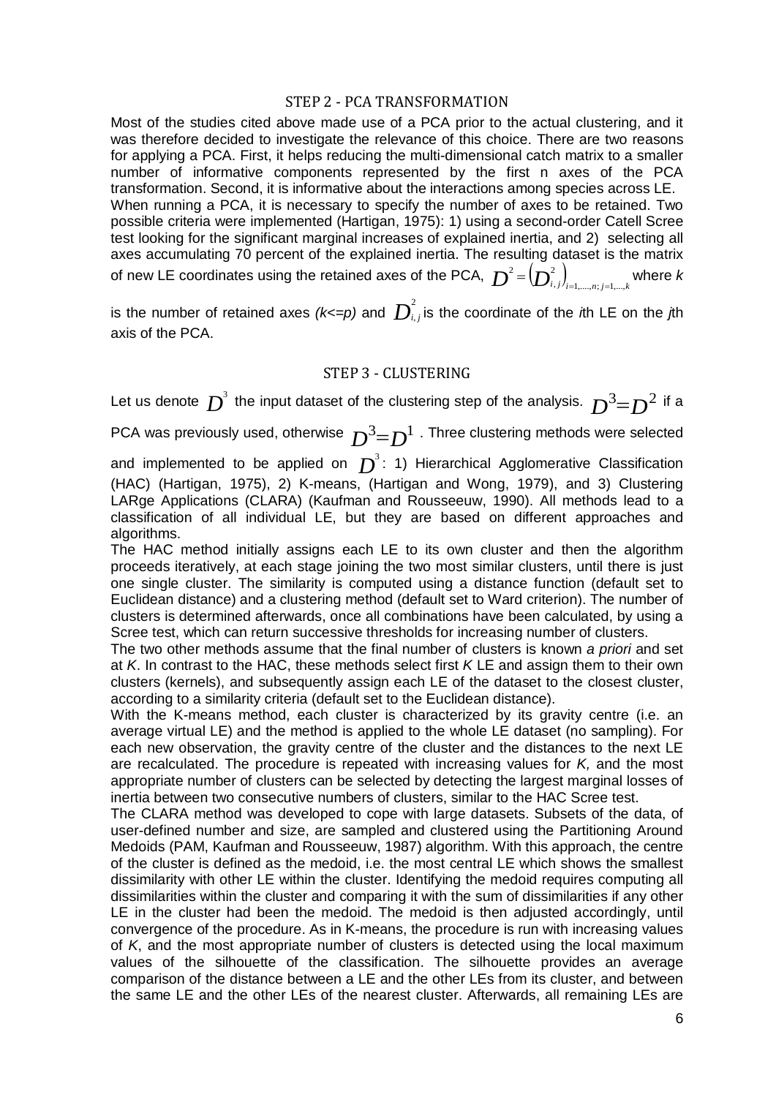#### STEP 2 - PCA TRANSFORMATION

Most of the studies cited above made use of a PCA prior to the actual clustering, and it was therefore decided to investigate the relevance of this choice. There are two reasons for applying a PCA. First, it helps reducing the multi-dimensional catch matrix to a smaller number of informative components represented by the first n axes of the PCA transformation. Second, it is informative about the interactions among species across LE. When running a PCA, it is necessary to specify the number of axes to be retained. Two possible criteria were implemented (Hartigan, 1975): 1) using a second-order Catell Scree test looking for the significant marginal increases of explained inertia, and 2) selecting all axes accumulating 70 percent of the explained inertia. The resulting dataset is the matrix of new LE coordinates using the retained axes of the PCA,  $\ \bm{D}^2 \!=\! \big(\!\bm{D}^2_{i,j}\!\big)_{\!i=1,...,n;j=1,...,k}$ ,  $\mathcal{L}^2 = \left(\boldsymbol{D}_{i,\,j}^2\right)_{i=1,...,n;\,j=1,...,k}$  where  $k$ 

is the number of retained axes  $(k<=p)$  and  $\overline{D}_{i,j}^2$  is the coordinate of the *i*th LE on the *j*th axis of the PCA.

### STEP 3 - CLUSTERING

Let us denote  $D^3$  the input dataset of the clustering step of the analysis.  $D^3 = D^2$  if a

PCA was previously used, otherwise  $D^3 = D^1$  . Three clustering methods were selected

and implemented to be applied on  $D^3$ : 1) Hierarchical Agglomerative Classification (HAC) (Hartigan, 1975), 2) K-means, (Hartigan and Wong, 1979), and 3) Clustering LARge Applications (CLARA) (Kaufman and Rousseeuw, 1990). All methods lead to a classification of all individual LE, but they are based on different approaches and algorithms.

The HAC method initially assigns each LE to its own cluster and then the algorithm proceeds iteratively, at each stage joining the two most similar clusters, until there is just one single cluster. The similarity is computed using a distance function (default set to Euclidean distance) and a clustering method (default set to Ward criterion). The number of clusters is determined afterwards, once all combinations have been calculated, by using a Scree test, which can return successive thresholds for increasing number of clusters.

The two other methods assume that the final number of clusters is known *a priori* and set at *K*. In contrast to the HAC, these methods select first *K* LE and assign them to their own clusters (kernels), and subsequently assign each LE of the dataset to the closest cluster, according to a similarity criteria (default set to the Euclidean distance).

With the K-means method, each cluster is characterized by its gravity centre (i.e. an average virtual LE) and the method is applied to the whole LE dataset (no sampling). For each new observation, the gravity centre of the cluster and the distances to the next LE are recalculated. The procedure is repeated with increasing values for *K,* and the most appropriate number of clusters can be selected by detecting the largest marginal losses of inertia between two consecutive numbers of clusters, similar to the HAC Scree test.

The CLARA method was developed to cope with large datasets. Subsets of the data, of user-defined number and size, are sampled and clustered using the Partitioning Around Medoids (PAM, Kaufman and Rousseeuw, 1987) algorithm. With this approach, the centre of the cluster is defined as the medoid, i.e. the most central LE which shows the smallest dissimilarity with other LE within the cluster. Identifying the medoid requires computing all dissimilarities within the cluster and comparing it with the sum of dissimilarities if any other LE in the cluster had been the medoid. The medoid is then adjusted accordingly, until convergence of the procedure. As in K-means, the procedure is run with increasing values of *K*, and the most appropriate number of clusters is detected using the local maximum values of the silhouette of the classification. The silhouette provides an average comparison of the distance between a LE and the other LEs from its cluster, and between the same LE and the other LEs of the nearest cluster. Afterwards, all remaining LEs are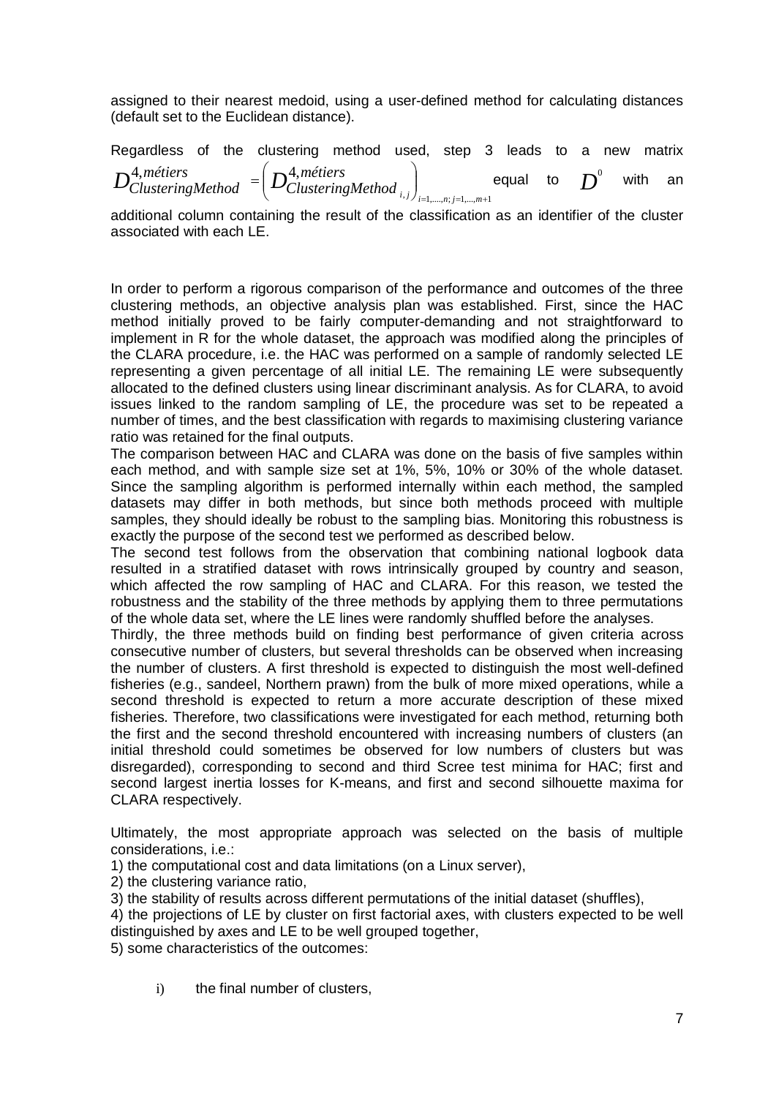assigned to their nearest medoid, using a user-defined method for calculating distances (default set to the Euclidean distance).

Regardless of the clustering method used, step 3 leads to a new matrix  $1, j$ ,  $j$ <sub>i=1</sub>,...,n; j=1,...,m+1 4,*métiers*  $\mathbf{\Lambda}^4$ ,  $=1, \ldots, n; j=1, \ldots, m+$  $\overline{\phantom{a}}$  $\left(D_{ClusteringMethod_{i,j}}^{4,m\'etiers}\right)$  $\setminus$  $=\bigg($  $(i, j)$ <sub>i=1,....,n; j=1,...,m</sub> *métiers*  $D^{4,m \acute{e}tiers}_{ClusteringMethod} = \left(D^{4,m \acute{e}tiers}_{ClusteringMethod_{i,j}}\right)_{i,j}$  equal to  $D^{0}$  with an

additional column containing the result of the classification as an identifier of the cluster associated with each LE.

In order to perform a rigorous comparison of the performance and outcomes of the three clustering methods, an objective analysis plan was established. First, since the HAC method initially proved to be fairly computer-demanding and not straightforward to implement in R for the whole dataset, the approach was modified along the principles of the CLARA procedure, i.e. the HAC was performed on a sample of randomly selected LE representing a given percentage of all initial LE. The remaining LE were subsequently allocated to the defined clusters using linear discriminant analysis. As for CLARA, to avoid issues linked to the random sampling of LE, the procedure was set to be repeated a number of times, and the best classification with regards to maximising clustering variance ratio was retained for the final outputs.

The comparison between HAC and CLARA was done on the basis of five samples within each method, and with sample size set at 1%, 5%, 10% or 30% of the whole dataset. Since the sampling algorithm is performed internally within each method, the sampled datasets may differ in both methods, but since both methods proceed with multiple samples, they should ideally be robust to the sampling bias. Monitoring this robustness is exactly the purpose of the second test we performed as described below.

The second test follows from the observation that combining national logbook data resulted in a stratified dataset with rows intrinsically grouped by country and season, which affected the row sampling of HAC and CLARA. For this reason, we tested the robustness and the stability of the three methods by applying them to three permutations of the whole data set, where the LE lines were randomly shuffled before the analyses.

Thirdly, the three methods build on finding best performance of given criteria across consecutive number of clusters, but several thresholds can be observed when increasing the number of clusters. A first threshold is expected to distinguish the most well-defined fisheries (e.g., sandeel, Northern prawn) from the bulk of more mixed operations, while a second threshold is expected to return a more accurate description of these mixed fisheries. Therefore, two classifications were investigated for each method, returning both the first and the second threshold encountered with increasing numbers of clusters (an initial threshold could sometimes be observed for low numbers of clusters but was disregarded), corresponding to second and third Scree test minima for HAC; first and second largest inertia losses for K-means, and first and second silhouette maxima for CLARA respectively.

Ultimately, the most appropriate approach was selected on the basis of multiple considerations, i.e.:

1) the computational cost and data limitations (on a Linux server),

2) the clustering variance ratio,

3) the stability of results across different permutations of the initial dataset (shuffles),

4) the projections of LE by cluster on first factorial axes, with clusters expected to be well distinguished by axes and LE to be well grouped together,

5) some characteristics of the outcomes:

i) the final number of clusters,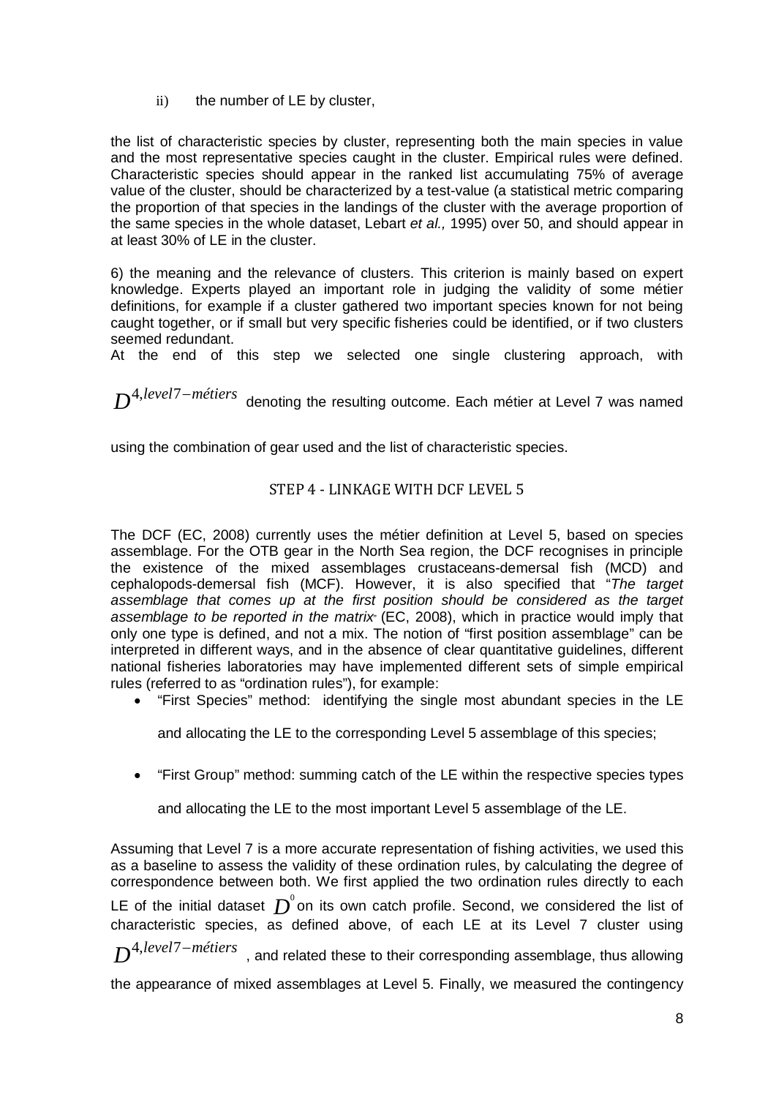ii) the number of LE by cluster,

the list of characteristic species by cluster, representing both the main species in value and the most representative species caught in the cluster. Empirical rules were defined. Characteristic species should appear in the ranked list accumulating 75% of average value of the cluster, should be characterized by a test-value (a statistical metric comparing the proportion of that species in the landings of the cluster with the average proportion of the same species in the whole dataset, Lebart *et al.,* 1995) over 50, and should appear in at least 30% of LE in the cluster.

6) the meaning and the relevance of clusters. This criterion is mainly based on expert knowledge. Experts played an important role in judging the validity of some métier definitions, for example if a cluster gathered two important species known for not being caught together, or if small but very specific fisheries could be identified, or if two clusters seemed redundant.

At the end of this step we selected one single clustering approach, with

*D*<sup>4,level<sup>7</sup>-métiers denoting the resulting outcome. Each métier at Level 7 was named</sup>

using the combination of gear used and the list of characteristic species.

### STEP 4 - LINKAGE WITH DCF LEVEL 5

The DCF (EC, 2008) currently uses the métier definition at Level 5, based on species assemblage. For the OTB gear in the North Sea region, the DCF recognises in principle the existence of the mixed assemblages crustaceans-demersal fish (MCD) and cephalopods-demersal fish (MCF). However, it is also specified that "*The target*  assemblage that comes up at the first position should be considered as the target *assemblage to be reported in the matrix*" (EC, 2008), which in practice would imply that only one type is defined, and not a mix. The notion of "first position assemblage" can be interpreted in different ways, and in the absence of clear quantitative guidelines, different national fisheries laboratories may have implemented different sets of simple empirical rules (referred to as "ordination rules"), for example:

• "First Species" method: identifying the single most abundant species in the LE

and allocating the LE to the corresponding Level 5 assemblage of this species;

• "First Group" method: summing catch of the LE within the respective species types

and allocating the LE to the most important Level 5 assemblage of the LE.

Assuming that Level 7 is a more accurate representation of fishing activities, we used this as a baseline to assess the validity of these ordination rules, by calculating the degree of correspondence between both. We first applied the two ordination rules directly to each LE of the initial dataset  $\overline{D}^0$ on its own catch profile. Second, we considered the list of characteristic species, as defined above, of each LE at its Level 7 cluster using *D*<sup>4,level<sup>7</sup>-métiers , and related these to their corresponding assemblage, thus allowing</sup>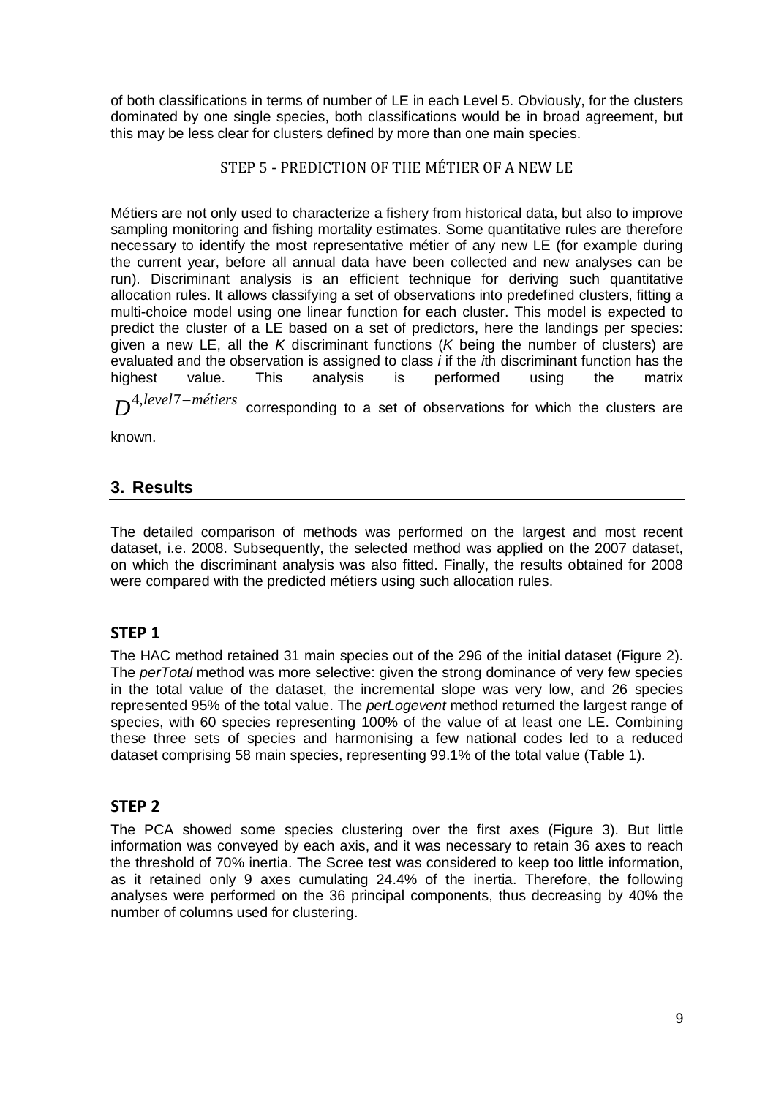of both classifications in terms of number of LE in each Level 5. Obviously, for the clusters dominated by one single species, both classifications would be in broad agreement, but this may be less clear for clusters defined by more than one main species.

## STEP 5 - PREDICTION OF THE MÉTIER OF A NEW LE

Métiers are not only used to characterize a fishery from historical data, but also to improve sampling monitoring and fishing mortality estimates. Some quantitative rules are therefore necessary to identify the most representative métier of any new LE (for example during the current year, before all annual data have been collected and new analyses can be run). Discriminant analysis is an efficient technique for deriving such quantitative allocation rules. It allows classifying a set of observations into predefined clusters, fitting a multi-choice model using one linear function for each cluster. This model is expected to predict the cluster of a LE based on a set of predictors, here the landings per species: given a new LE, all the *K* discriminant functions (*K* being the number of clusters) are evaluated and the observation is assigned to class *i* if the *i*th discriminant function has the highest value. This analysis is performed using the matrix

*D*<sup>4,*level*7-*métiers* corresponding to a set of observations for which the clusters are</sup>

known.

# **3. Results**

The detailed comparison of methods was performed on the largest and most recent dataset, i.e. 2008. Subsequently, the selected method was applied on the 2007 dataset, on which the discriminant analysis was also fitted. Finally, the results obtained for 2008 were compared with the predicted métiers using such allocation rules.

# **STEP 1**

The HAC method retained 31 main species out of the 296 of the initial dataset (Figure 2). The *perTotal* method was more selective: given the strong dominance of very few species in the total value of the dataset, the incremental slope was very low, and 26 species represented 95% of the total value. The *perLogevent* method returned the largest range of species, with 60 species representing 100% of the value of at least one LE. Combining these three sets of species and harmonising a few national codes led to a reduced dataset comprising 58 main species, representing 99.1% of the total value (Table 1).

### **STEP 2**

The PCA showed some species clustering over the first axes (Figure 3). But little information was conveyed by each axis, and it was necessary to retain 36 axes to reach the threshold of 70% inertia. The Scree test was considered to keep too little information, as it retained only 9 axes cumulating 24.4% of the inertia. Therefore, the following analyses were performed on the 36 principal components, thus decreasing by 40% the number of columns used for clustering.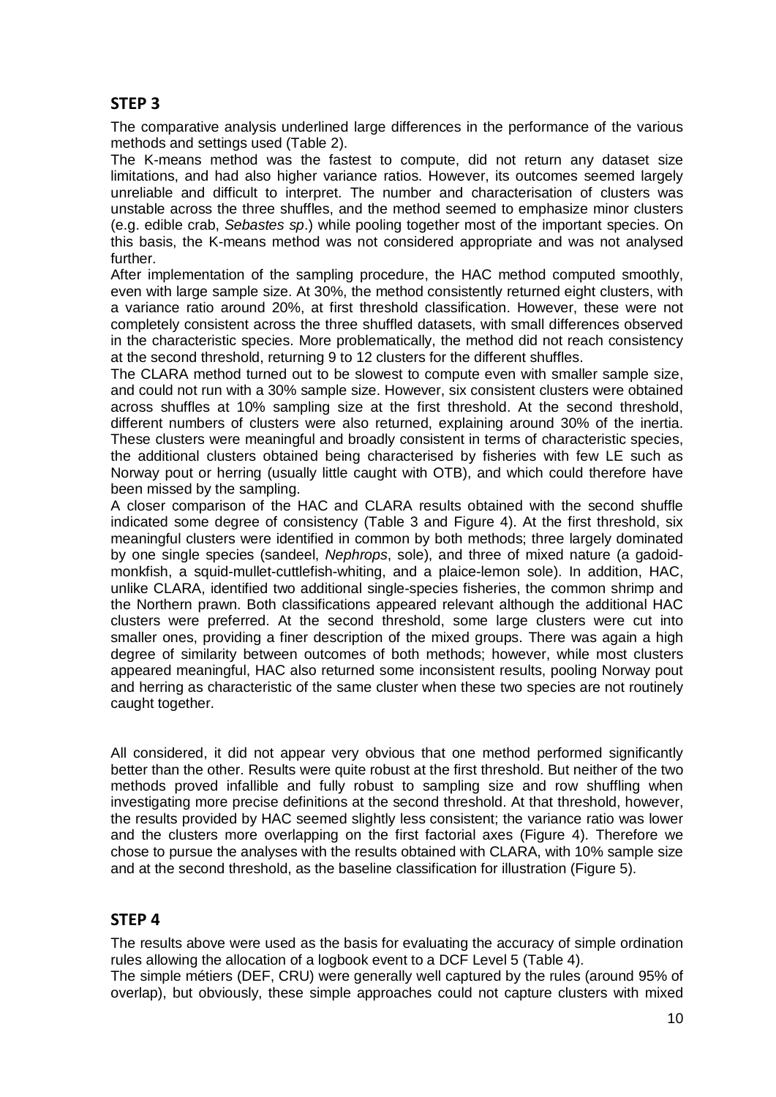# **STEP 3**

The comparative analysis underlined large differences in the performance of the various methods and settings used (Table 2).

The K-means method was the fastest to compute, did not return any dataset size limitations, and had also higher variance ratios. However, its outcomes seemed largely unreliable and difficult to interpret. The number and characterisation of clusters was unstable across the three shuffles, and the method seemed to emphasize minor clusters (e.g. edible crab, *Sebastes sp*.) while pooling together most of the important species. On this basis, the K-means method was not considered appropriate and was not analysed further.

After implementation of the sampling procedure, the HAC method computed smoothly, even with large sample size. At 30%, the method consistently returned eight clusters, with a variance ratio around 20%, at first threshold classification. However, these were not completely consistent across the three shuffled datasets, with small differences observed in the characteristic species. More problematically, the method did not reach consistency at the second threshold, returning 9 to 12 clusters for the different shuffles.

The CLARA method turned out to be slowest to compute even with smaller sample size, and could not run with a 30% sample size. However, six consistent clusters were obtained across shuffles at 10% sampling size at the first threshold. At the second threshold, different numbers of clusters were also returned, explaining around 30% of the inertia. These clusters were meaningful and broadly consistent in terms of characteristic species, the additional clusters obtained being characterised by fisheries with few LE such as Norway pout or herring (usually little caught with OTB), and which could therefore have been missed by the sampling.

A closer comparison of the HAC and CLARA results obtained with the second shuffle indicated some degree of consistency (Table 3 and Figure 4). At the first threshold, six meaningful clusters were identified in common by both methods; three largely dominated by one single species (sandeel, *Nephrops*, sole), and three of mixed nature (a gadoidmonkfish, a squid-mullet-cuttlefish-whiting, and a plaice-lemon sole). In addition, HAC, unlike CLARA, identified two additional single-species fisheries, the common shrimp and the Northern prawn. Both classifications appeared relevant although the additional HAC clusters were preferred. At the second threshold, some large clusters were cut into smaller ones, providing a finer description of the mixed groups. There was again a high degree of similarity between outcomes of both methods; however, while most clusters appeared meaningful, HAC also returned some inconsistent results, pooling Norway pout and herring as characteristic of the same cluster when these two species are not routinely caught together.

All considered, it did not appear very obvious that one method performed significantly better than the other. Results were quite robust at the first threshold. But neither of the two methods proved infallible and fully robust to sampling size and row shuffling when investigating more precise definitions at the second threshold. At that threshold, however, the results provided by HAC seemed slightly less consistent; the variance ratio was lower and the clusters more overlapping on the first factorial axes (Figure 4). Therefore we chose to pursue the analyses with the results obtained with CLARA, with 10% sample size and at the second threshold, as the baseline classification for illustration (Figure 5).

# **STEP 4**

The results above were used as the basis for evaluating the accuracy of simple ordination rules allowing the allocation of a logbook event to a DCF Level 5 (Table 4).

The simple métiers (DEF, CRU) were generally well captured by the rules (around 95% of overlap), but obviously, these simple approaches could not capture clusters with mixed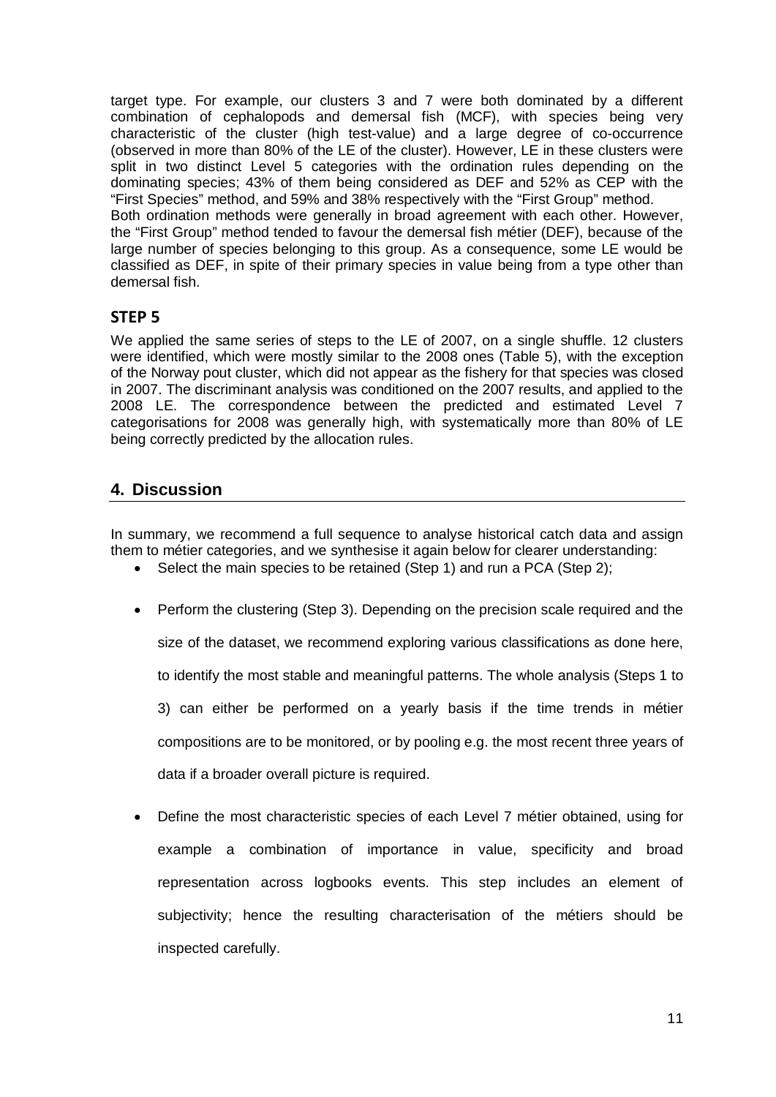target type. For example, our clusters 3 and 7 were both dominated by a different combination of cephalopods and demersal fish (MCF), with species being very characteristic of the cluster (high test-value) and a large degree of co-occurrence (observed in more than 80% of the LE of the cluster). However, LE in these clusters were split in two distinct Level 5 categories with the ordination rules depending on the dominating species; 43% of them being considered as DEF and 52% as CEP with the "First Species" method, and 59% and 38% respectively with the "First Group" method. Both ordination methods were generally in broad agreement with each other. However, the "First Group" method tended to favour the demersal fish métier (DEF), because of the large number of species belonging to this group. As a consequence, some LE would be classified as DEF, in spite of their primary species in value being from a type other than demersal fish.

## **STEP 5**

We applied the same series of steps to the LE of 2007, on a single shuffle. 12 clusters were identified, which were mostly similar to the 2008 ones (Table 5), with the exception of the Norway pout cluster, which did not appear as the fishery for that species was closed in 2007. The discriminant analysis was conditioned on the 2007 results, and applied to the 2008 LE. The correspondence between the predicted and estimated Level 7 categorisations for 2008 was generally high, with systematically more than 80% of LE being correctly predicted by the allocation rules.

## **4. Discussion**

In summary, we recommend a full sequence to analyse historical catch data and assign them to métier categories, and we synthesise it again below for clearer understanding:

- Select the main species to be retained (Step 1) and run a PCA (Step 2);
- Perform the clustering (Step 3). Depending on the precision scale required and the size of the dataset, we recommend exploring various classifications as done here, to identify the most stable and meaningful patterns. The whole analysis (Steps 1 to 3) can either be performed on a yearly basis if the time trends in métier compositions are to be monitored, or by pooling e.g. the most recent three years of data if a broader overall picture is required.
- Define the most characteristic species of each Level 7 métier obtained, using for example a combination of importance in value, specificity and broad representation across logbooks events. This step includes an element of subjectivity; hence the resulting characterisation of the métiers should be inspected carefully.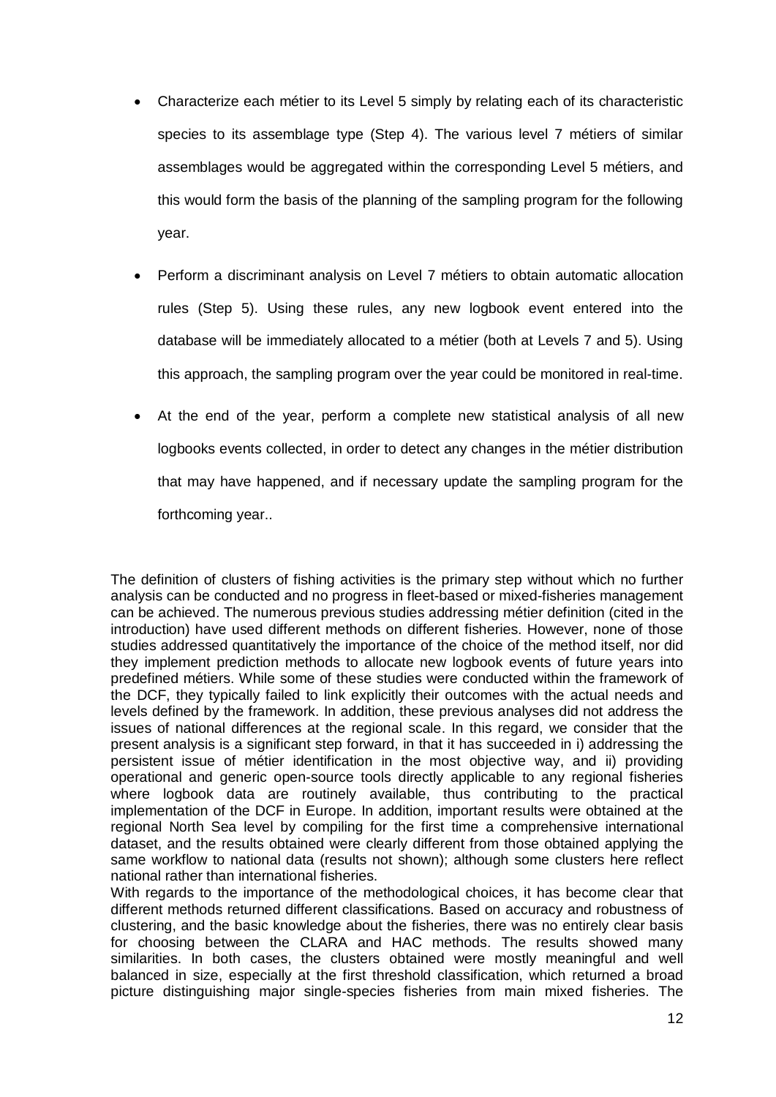- Characterize each métier to its Level 5 simply by relating each of its characteristic species to its assemblage type (Step 4). The various level 7 métiers of similar assemblages would be aggregated within the corresponding Level 5 métiers, and this would form the basis of the planning of the sampling program for the following year.
- Perform a discriminant analysis on Level 7 métiers to obtain automatic allocation rules (Step 5). Using these rules, any new logbook event entered into the database will be immediately allocated to a métier (both at Levels 7 and 5). Using this approach, the sampling program over the year could be monitored in real-time.
- At the end of the year, perform a complete new statistical analysis of all new logbooks events collected, in order to detect any changes in the métier distribution that may have happened, and if necessary update the sampling program for the forthcoming year..

The definition of clusters of fishing activities is the primary step without which no further analysis can be conducted and no progress in fleet-based or mixed-fisheries management can be achieved. The numerous previous studies addressing métier definition (cited in the introduction) have used different methods on different fisheries. However, none of those studies addressed quantitatively the importance of the choice of the method itself, nor did they implement prediction methods to allocate new logbook events of future years into predefined métiers. While some of these studies were conducted within the framework of the DCF, they typically failed to link explicitly their outcomes with the actual needs and levels defined by the framework. In addition, these previous analyses did not address the issues of national differences at the regional scale. In this regard, we consider that the present analysis is a significant step forward, in that it has succeeded in i) addressing the persistent issue of métier identification in the most objective way, and ii) providing operational and generic open-source tools directly applicable to any regional fisheries where logbook data are routinely available, thus contributing to the practical implementation of the DCF in Europe. In addition, important results were obtained at the regional North Sea level by compiling for the first time a comprehensive international dataset, and the results obtained were clearly different from those obtained applying the same workflow to national data (results not shown); although some clusters here reflect national rather than international fisheries.

With regards to the importance of the methodological choices, it has become clear that different methods returned different classifications. Based on accuracy and robustness of clustering, and the basic knowledge about the fisheries, there was no entirely clear basis for choosing between the CLARA and HAC methods. The results showed many similarities. In both cases, the clusters obtained were mostly meaningful and well balanced in size, especially at the first threshold classification, which returned a broad picture distinguishing major single-species fisheries from main mixed fisheries. The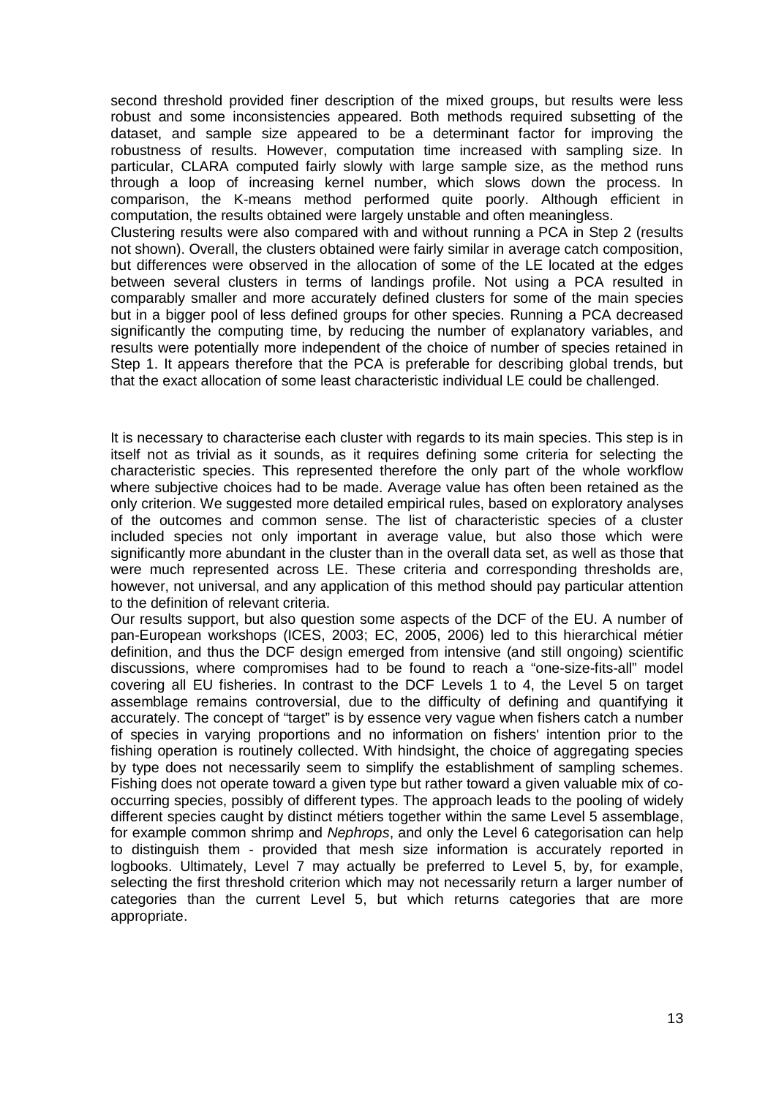second threshold provided finer description of the mixed groups, but results were less robust and some inconsistencies appeared. Both methods required subsetting of the dataset, and sample size appeared to be a determinant factor for improving the robustness of results. However, computation time increased with sampling size. In particular, CLARA computed fairly slowly with large sample size, as the method runs through a loop of increasing kernel number, which slows down the process. In comparison, the K-means method performed quite poorly. Although efficient in computation, the results obtained were largely unstable and often meaningless.

Clustering results were also compared with and without running a PCA in Step 2 (results not shown). Overall, the clusters obtained were fairly similar in average catch composition, but differences were observed in the allocation of some of the LE located at the edges between several clusters in terms of landings profile. Not using a PCA resulted in comparably smaller and more accurately defined clusters for some of the main species but in a bigger pool of less defined groups for other species. Running a PCA decreased significantly the computing time, by reducing the number of explanatory variables, and results were potentially more independent of the choice of number of species retained in Step 1. It appears therefore that the PCA is preferable for describing global trends, but that the exact allocation of some least characteristic individual LE could be challenged.

It is necessary to characterise each cluster with regards to its main species. This step is in itself not as trivial as it sounds, as it requires defining some criteria for selecting the characteristic species. This represented therefore the only part of the whole workflow where subjective choices had to be made. Average value has often been retained as the only criterion. We suggested more detailed empirical rules, based on exploratory analyses of the outcomes and common sense. The list of characteristic species of a cluster included species not only important in average value, but also those which were significantly more abundant in the cluster than in the overall data set, as well as those that were much represented across LE. These criteria and corresponding thresholds are, however, not universal, and any application of this method should pay particular attention to the definition of relevant criteria.

Our results support, but also question some aspects of the DCF of the EU. A number of pan-European workshops (ICES, 2003; EC, 2005, 2006) led to this hierarchical métier definition, and thus the DCF design emerged from intensive (and still ongoing) scientific discussions, where compromises had to be found to reach a "one-size-fits-all" model covering all EU fisheries. In contrast to the DCF Levels 1 to 4, the Level 5 on target assemblage remains controversial, due to the difficulty of defining and quantifying it accurately. The concept of "target" is by essence very vague when fishers catch a number of species in varying proportions and no information on fishers' intention prior to the fishing operation is routinely collected. With hindsight, the choice of aggregating species by type does not necessarily seem to simplify the establishment of sampling schemes. Fishing does not operate toward a given type but rather toward a given valuable mix of cooccurring species, possibly of different types. The approach leads to the pooling of widely different species caught by distinct métiers together within the same Level 5 assemblage, for example common shrimp and *Nephrops*, and only the Level 6 categorisation can help to distinguish them - provided that mesh size information is accurately reported in logbooks. Ultimately, Level 7 may actually be preferred to Level 5, by, for example, selecting the first threshold criterion which may not necessarily return a larger number of categories than the current Level 5, but which returns categories that are more appropriate.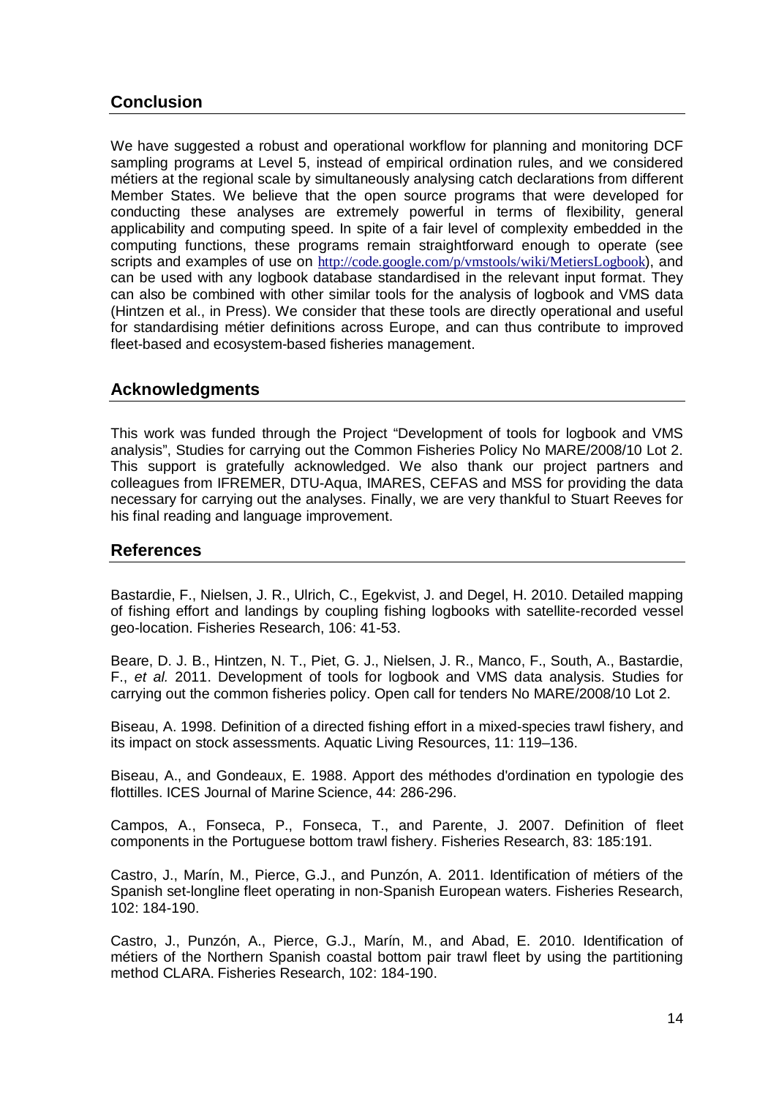# **Conclusion**

We have suggested a robust and operational workflow for planning and monitoring DCF sampling programs at Level 5, instead of empirical ordination rules, and we considered métiers at the regional scale by simultaneously analysing catch declarations from different Member States. We believe that the open source programs that were developed for conducting these analyses are extremely powerful in terms of flexibility, general applicability and computing speed. In spite of a fair level of complexity embedded in the computing functions, these programs remain straightforward enough to operate (see scripts and examples of use on <http://code.google.com/p/vmstools/wiki/MetiersLogbook>), and can be used with any logbook database standardised in the relevant input format. They can also be combined with other similar tools for the analysis of logbook and VMS data (Hintzen et al., in Press). We consider that these tools are directly operational and useful for standardising métier definitions across Europe, and can thus contribute to improved fleet-based and ecosystem-based fisheries management.

## **Acknowledgments**

This work was funded through the Project "Development of tools for logbook and VMS analysis", Studies for carrying out the Common Fisheries Policy No MARE/2008/10 Lot 2. This support is gratefully acknowledged. We also thank our project partners and colleagues from IFREMER, DTU-Aqua, IMARES, CEFAS and MSS for providing the data necessary for carrying out the analyses. Finally, we are very thankful to Stuart Reeves for his final reading and language improvement.

### **References**

Bastardie, F., Nielsen, J. R., Ulrich, C., Egekvist, J. and Degel, H. 2010. Detailed mapping of fishing effort and landings by coupling fishing logbooks with satellite-recorded vessel geo-location. Fisheries Research, 106: 41-53.

Beare, D. J. B., Hintzen, N. T., Piet, G. J., Nielsen, J. R., Manco, F., South, A., Bastardie, F., *et al.* 2011. Development of tools for logbook and VMS data analysis. Studies for carrying out the common fisheries policy. Open call for tenders No MARE/2008/10 Lot 2.

Biseau, A. 1998. Definition of a directed fishing effort in a mixed-species trawl fishery, and its impact on stock assessments. Aquatic Living Resources, 11: 119–136.

Biseau, A., and Gondeaux, E. 1988. Apport des méthodes d'ordination en typologie des flottilles. ICES Journal of Marine Science, 44: 286-296.

Campos, A., Fonseca, P., Fonseca, T., and Parente, J. 2007. Definition of fleet components in the Portuguese bottom trawl fishery. Fisheries Research, 83: 185:191.

Castro, J., Marín, M., Pierce, G.J., and Punzón, A. 2011. Identification of métiers of the Spanish set-longline fleet operating in non-Spanish European waters. Fisheries Research, 102: 184-190.

Castro, J., Punzón, A., Pierce, G.J., Marín, M., and Abad, E. 2010. Identification of métiers of the Northern Spanish coastal bottom pair trawl fleet by using the partitioning method CLARA. Fisheries Research, 102: 184-190.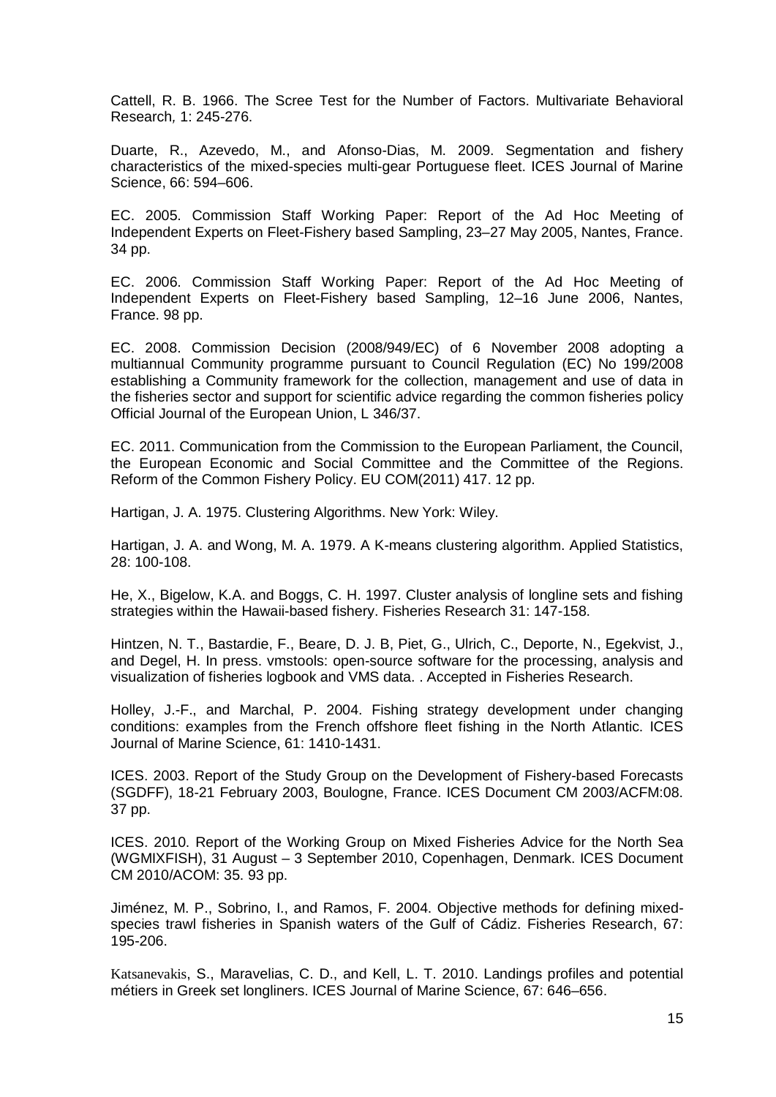Cattell, R. B. 1966. The Scree Test for the Number of Factors. Multivariate Behavioral Research*,* 1: 245-276.

Duarte, R., Azevedo, M., and Afonso-Dias, M. 2009. Segmentation and fishery characteristics of the mixed-species multi-gear Portuguese fleet. ICES Journal of Marine Science, 66: 594–606.

EC. 2005. Commission Staff Working Paper: Report of the Ad Hoc Meeting of Independent Experts on Fleet-Fishery based Sampling, 23–27 May 2005, Nantes, France. 34 pp.

EC. 2006. Commission Staff Working Paper: Report of the Ad Hoc Meeting of Independent Experts on Fleet-Fishery based Sampling, 12–16 June 2006, Nantes, France. 98 pp.

EC. 2008. Commission Decision (2008/949/EC) of 6 November 2008 adopting a multiannual Community programme pursuant to Council Regulation (EC) No 199/2008 establishing a Community framework for the collection, management and use of data in the fisheries sector and support for scientific advice regarding the common fisheries policy Official Journal of the European Union, L 346/37.

EC. 2011. Communication from the Commission to the European Parliament, the Council, the European Economic and Social Committee and the Committee of the Regions. Reform of the Common Fishery Policy. EU COM(2011) 417. 12 pp.

Hartigan, J. A. 1975. Clustering Algorithms. New York: Wiley.

Hartigan, J. A. and Wong, M. A. 1979. A K-means clustering algorithm. Applied Statistics, 28: 100-108.

He, X., Bigelow, K.A. and Boggs, C. H. 1997. Cluster analysis of longline sets and fishing strategies within the Hawaii-based fishery. Fisheries Research 31: 147-158.

Hintzen, N. T., Bastardie, F., Beare, D. J. B, Piet, G., Ulrich, C., Deporte, N., Egekvist, J., and Degel, H. In press. vmstools: open-source software for the processing, analysis and visualization of fisheries logbook and VMS data. . Accepted in Fisheries Research.

Holley, J.-F., and Marchal, P. 2004. Fishing strategy development under changing conditions: examples from the French offshore fleet fishing in the North Atlantic. ICES Journal of Marine Science, 61: 1410-1431.

ICES. 2003. Report of the Study Group on the Development of Fishery-based Forecasts (SGDFF), 18-21 February 2003, Boulogne, France. ICES Document CM 2003/ACFM:08. 37 pp.

ICES. 2010. Report of the Working Group on Mixed Fisheries Advice for the North Sea (WGMIXFISH), 31 August – 3 September 2010, Copenhagen, Denmark. ICES Document CM 2010/ACOM: 35. 93 pp.

Jiménez, M. P., Sobrino, I., and Ramos, F. 2004. Objective methods for defining mixedspecies trawl fisheries in Spanish waters of the Gulf of Cádiz. Fisheries Research, 67: 195-206.

Katsanevakis, S., Maravelias, C. D., and Kell, L. T. 2010. Landings profiles and potential métiers in Greek set longliners. ICES Journal of Marine Science, 67: 646–656.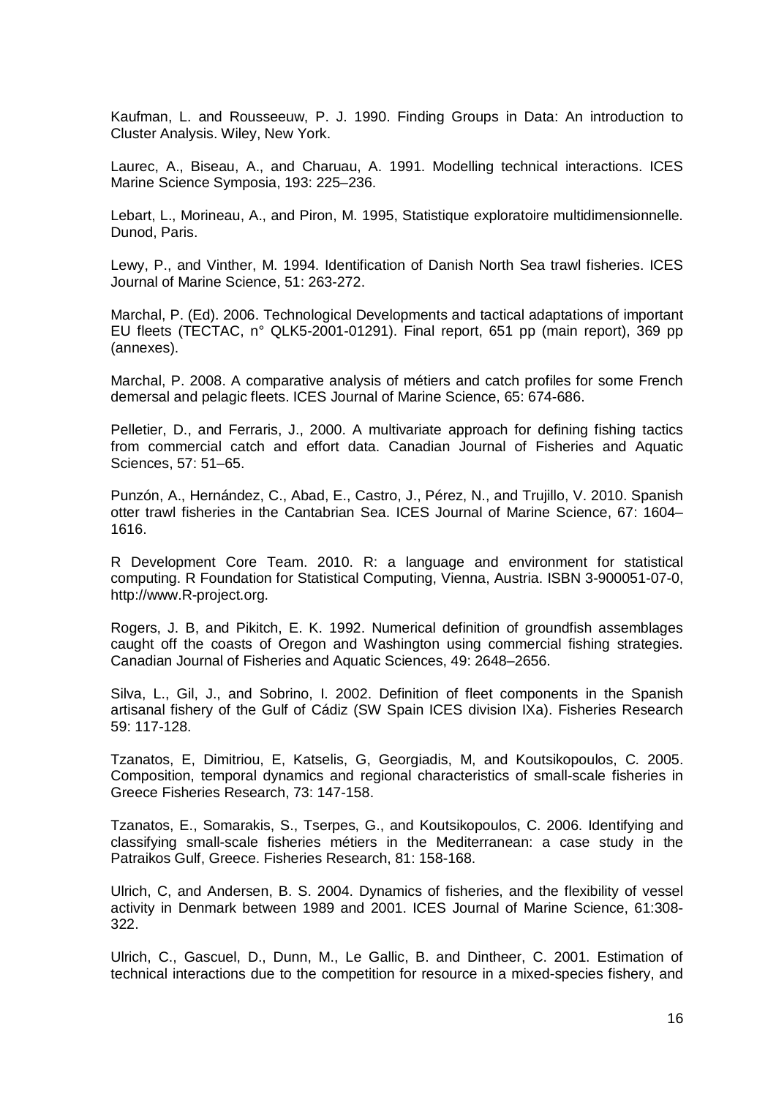Kaufman, L. and Rousseeuw, P. J. 1990. Finding Groups in Data: An introduction to Cluster Analysis. Wiley, New York.

Laurec, A., Biseau, A., and Charuau, A. 1991. Modelling technical interactions. ICES Marine Science Symposia, 193: 225–236.

Lebart, L., Morineau, A., and Piron, M. 1995, Statistique exploratoire multidimensionnelle. Dunod, Paris.

Lewy, P., and Vinther, M. 1994. Identification of Danish North Sea trawl fisheries. ICES Journal of Marine Science, 51: 263-272.

Marchal, P. (Ed). 2006. Technological Developments and tactical adaptations of important EU fleets (TECTAC, n° QLK5-2001-01291). Final report, 651 pp (main report), 369 pp (annexes).

Marchal, P. 2008. A comparative analysis of métiers and catch profiles for some French demersal and pelagic fleets. ICES Journal of Marine Science, 65: 674-686.

Pelletier, D., and Ferraris, J., 2000. A multivariate approach for defining fishing tactics from commercial catch and effort data. Canadian Journal of Fisheries and Aquatic Sciences, 57: 51–65.

Punzón, A., Hernández, C., Abad, E., Castro, J., Pérez, N., and Trujillo, V. 2010. Spanish otter trawl fisheries in the Cantabrian Sea. ICES Journal of Marine Science, 67: 1604– 1616.

R Development Core Team. 2010. R: a language and environment for statistical computing. R Foundation for Statistical Computing, Vienna, Austria. ISBN 3-900051-07-0, [http://www.R-project.org.](http://www.r-project.org/)

Rogers, J. B, and Pikitch, E. K. 1992. Numerical definition of groundfish assemblages caught off the coasts of Oregon and Washington using commercial fishing strategies. Canadian Journal of Fisheries and Aquatic Sciences, 49: 2648–2656.

Silva, L., Gil, J., and Sobrino, I. 2002. Definition of fleet components in the Spanish artisanal fishery of the Gulf of Cádiz (SW Spain ICES division IXa). Fisheries Research 59: 117-128.

Tzanatos, E, Dimitriou, E, Katselis, G, Georgiadis, M, and Koutsikopoulos, C. 2005. Composition, temporal dynamics and regional characteristics of small-scale fisheries in Greece Fisheries Research, 73: 147-158.

Tzanatos, E., Somarakis, S., Tserpes, G., and Koutsikopoulos, C. 2006. Identifying and classifying small-scale fisheries métiers in the Mediterranean: a case study in the Patraikos Gulf, Greece. Fisheries Research, 81: 158-168.

Ulrich, C, and Andersen, B. S. 2004. Dynamics of fisheries, and the flexibility of vessel activity in Denmark between 1989 and 2001. ICES Journal of Marine Science, 61:308- 322.

Ulrich, C., Gascuel, D., Dunn, M., Le Gallic, B. and Dintheer, C. 2001. Estimation of technical interactions due to the competition for resource in a mixed-species fishery, and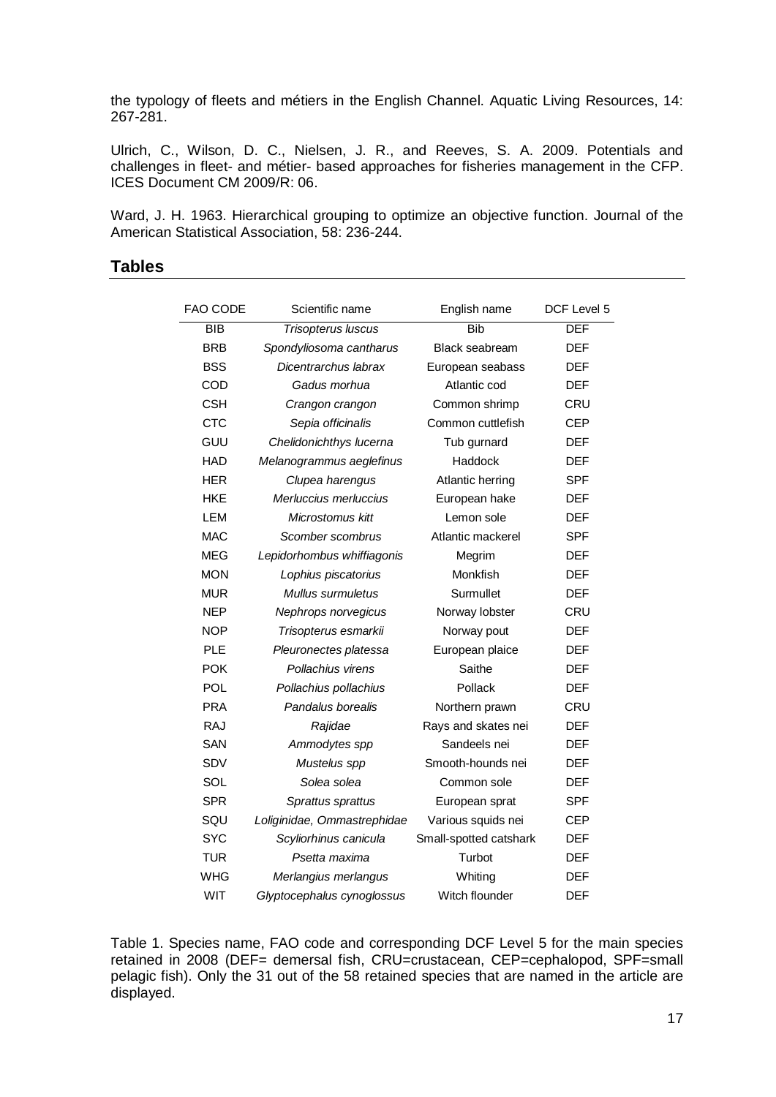the typology of fleets and métiers in the English Channel. Aquatic Living Resources, 14: 267-281.

Ulrich, C., Wilson, D. C., Nielsen, J. R., and Reeves, S. A. 2009. Potentials and challenges in fleet- and métier- based approaches for fisheries management in the CFP. ICES Document CM 2009/R: 06.

Ward, J. H. 1963. Hierarchical grouping to optimize an objective function. Journal of the American Statistical Association, 58: 236-244.

### **Tables**

| FAO CODE   | Scientific name             | English name           | DCF Level 5 |
|------------|-----------------------------|------------------------|-------------|
| <b>BIB</b> | Trisopterus luscus          | <b>Bib</b>             | <b>DEF</b>  |
| <b>BRB</b> | Spondyliosoma cantharus     | <b>Black seabream</b>  | <b>DEF</b>  |
| <b>BSS</b> | Dicentrarchus labrax        | European seabass       | <b>DEF</b>  |
| COD        | Gadus morhua                | Atlantic cod           | <b>DEF</b>  |
| <b>CSH</b> | Crangon crangon             | Common shrimp          | <b>CRU</b>  |
| <b>CTC</b> | Sepia officinalis           | Common cuttlefish      | CEP         |
| GUU        | Chelidonichthys lucerna     | Tub gurnard            | <b>DEF</b>  |
| <b>HAD</b> | Melanogrammus aeglefinus    | Haddock                | <b>DEF</b>  |
| <b>HER</b> | Clupea harengus             | Atlantic herring       | <b>SPF</b>  |
| HKE        | Merluccius merluccius       | European hake          | <b>DEF</b>  |
| LEM        | Microstomus kitt            | Lemon sole             | <b>DEF</b>  |
| MAC        | Scomber scombrus            | Atlantic mackerel      | SPF         |
| <b>MEG</b> | Lepidorhombus whiffiagonis  | Megrim                 | <b>DEF</b>  |
| <b>MON</b> | Lophius piscatorius         | Monkfish               | <b>DEF</b>  |
| <b>MUR</b> | Mullus surmuletus           | Surmullet              | <b>DEF</b>  |
| <b>NEP</b> | Nephrops norvegicus         | Norway lobster         | CRU         |
| <b>NOP</b> | Trisopterus esmarkii        | Norway pout            | <b>DEF</b>  |
| <b>PLE</b> | Pleuronectes platessa       | European plaice        | <b>DEF</b>  |
| <b>POK</b> | Pollachius virens           | Saithe                 | <b>DEF</b>  |
| <b>POL</b> | Pollachius pollachius       | Pollack                | <b>DEF</b>  |
| <b>PRA</b> | Pandalus borealis           | Northern prawn         | <b>CRU</b>  |
| <b>RAJ</b> | Rajidae                     | Rays and skates nei    | <b>DEF</b>  |
| <b>SAN</b> | Ammodytes spp               | Sandeels nei           | <b>DEF</b>  |
| SDV        | Mustelus spp                | Smooth-hounds nei      | <b>DEF</b>  |
| SOL        | Solea solea                 | Common sole            | <b>DEF</b>  |
| <b>SPR</b> | Sprattus sprattus           | European sprat         | <b>SPF</b>  |
| SQU        | Loliginidae, Ommastrephidae | Various squids nei     | <b>CEP</b>  |
| <b>SYC</b> | Scyliorhinus canicula       | Small-spotted catshark | <b>DEF</b>  |
| <b>TUR</b> | Psetta maxima               | Turbot                 | <b>DEF</b>  |
| <b>WHG</b> | Merlangius merlangus        | Whiting                | <b>DEF</b>  |
| <b>WIT</b> | Glyptocephalus cynoglossus  | Witch flounder         | <b>DEF</b>  |

Table 1. Species name, FAO code and corresponding DCF Level 5 for the main species retained in 2008 (DEF= demersal fish, CRU=crustacean, CEP=cephalopod, SPF=small pelagic fish). Only the 31 out of the 58 retained species that are named in the article are displayed.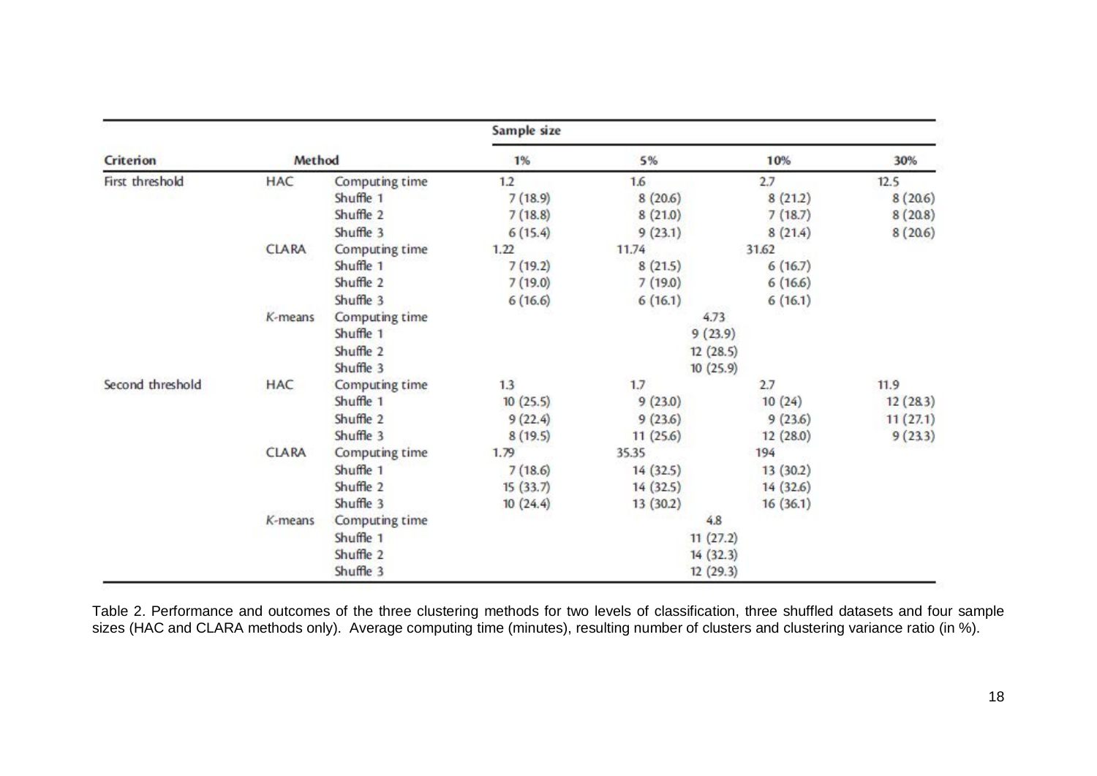|                  |              |                       | Sample size |            |          |          |  |  |
|------------------|--------------|-----------------------|-------------|------------|----------|----------|--|--|
| Criterion        | Method       |                       | 1%          | 5%         | 10%      | 30%      |  |  |
| First threshold  | <b>HAC</b>   | Computing time        | 1.2         | 1.6        | 2.7      | 12.5     |  |  |
|                  |              | Shuffle 1             | 7(18.9)     | 8(20.6)    | 8(21.2)  | 8(20.6)  |  |  |
|                  |              | Shuffle 2             | 7(18.8)     | 8(21.0)    | 7(18.7)  | 8(20.8)  |  |  |
|                  |              | Shuffle 3             | 6(15.4)     | 9(23.1)    | 8(21.4)  | 8(20.6)  |  |  |
|                  | <b>CLARA</b> | Computing time        | 1.22        | 11.74      | 31.62    |          |  |  |
|                  |              | Shuffle 1             | 7(19.2)     | 8(21.5)    | 6(16.7)  |          |  |  |
|                  |              | Shuffle 2             | 7(19.0)     | 7(19.0)    | 6(16.6)  |          |  |  |
|                  |              | Shuffle 3             | 6(16.6)     | 6(16.1)    | 6(16.1)  |          |  |  |
|                  | K-means      | <b>Computing time</b> |             |            | 4.73     |          |  |  |
|                  |              | Shuffle 1             |             | 9(23.9)    |          |          |  |  |
|                  |              | Shuffle 2             |             |            | 12(28.5) |          |  |  |
|                  |              | Shuffle 3             | 10(25.9)    |            |          |          |  |  |
| Second threshold | <b>HAC</b>   | Computing time        | 1.3         | 1.7<br>2.7 |          | 11.9     |  |  |
|                  |              | Shuffle 1             | 10(25.5)    | 9(23.0)    | 10(24)   | 12(283)  |  |  |
|                  |              | Shuffle 2             | 9(22.4)     | 9(23.6)    | 9(23.6)  | 11(27.1) |  |  |
|                  |              | Shuffle 3             | 8(19.5)     | 11(25.6)   | 12(28.0) | 9(23.3)  |  |  |
|                  | <b>CLARA</b> | Computing time        | 1.79        | 35.35      | 194      |          |  |  |
|                  |              | Shuffle 1             | 7(18.6)     | 14(32.5)   | 13(30.2) |          |  |  |
|                  |              | Shuffle 2             | 15(33.7)    | 14(32.5)   | 14(32.6) |          |  |  |
|                  |              | Shuffle 3             | 10(24.4)    | 13(30.2)   | 16(36.1) |          |  |  |
|                  | K-means      | Computing time        |             |            | 4.8      |          |  |  |
|                  |              | Shuffle 1             |             |            | 11(27.2) |          |  |  |
|                  |              | Shuffle 2             |             |            | 14(32.3) |          |  |  |
|                  |              | Shuffle 3             |             |            | 12(29.3) |          |  |  |

Table 2. Performance and outcomes of the three clustering methods for two levels of classification, three shuffled datasets and four sample sizes (HAC and CLARA methods only). Average computing time (minutes), resulting number of clusters and clustering variance ratio (in %).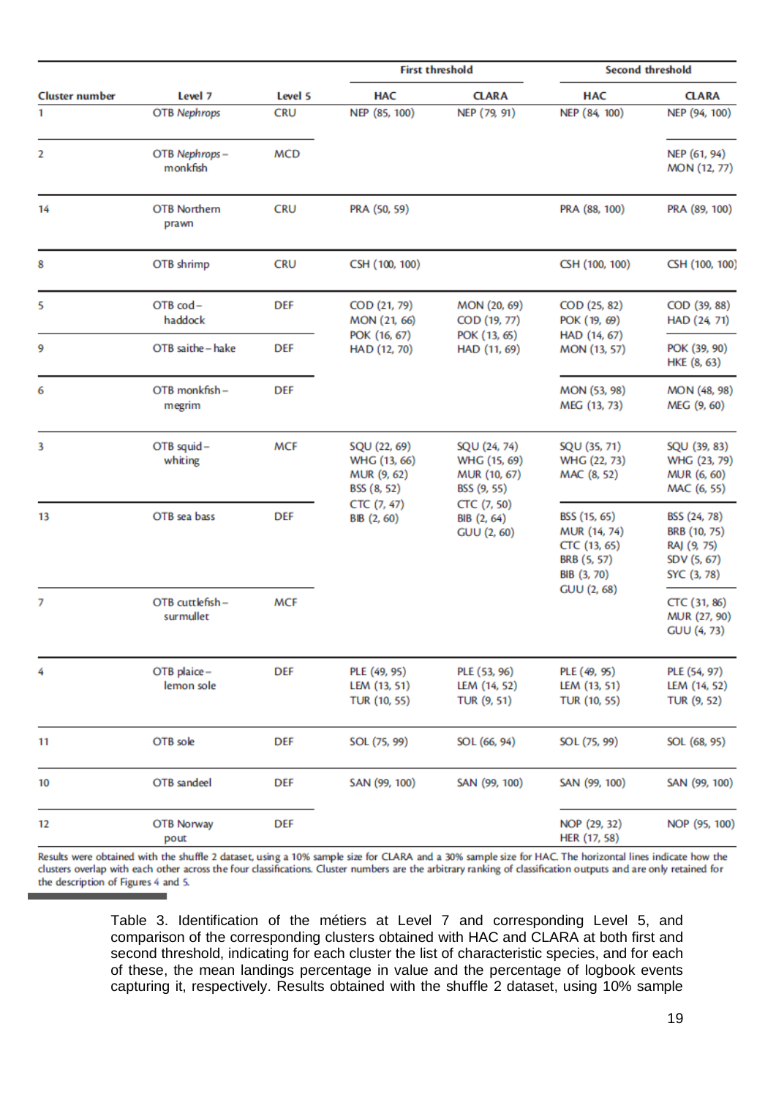| <b>Cluster number</b> |                              |            |                                                            | <b>First threshold</b>                                      | <b>Second threshold</b>                                                    |                                                                           |  |
|-----------------------|------------------------------|------------|------------------------------------------------------------|-------------------------------------------------------------|----------------------------------------------------------------------------|---------------------------------------------------------------------------|--|
|                       | Level 7                      | Level 5    | <b>HAC</b>                                                 | <b>CLARA</b>                                                | <b>HAC</b>                                                                 | <b>CLARA</b>                                                              |  |
| 1                     | <b>OTB</b> Nephrops          | <b>CRU</b> | NEP (85, 100)                                              | NEP (79, 91)                                                | NEP (84, 100)                                                              | NEP (94, 100)                                                             |  |
| 2                     | OTB Nephrops-<br>monkfish    | <b>MCD</b> |                                                            |                                                             |                                                                            | NEP (61, 94)<br>MON (12, 77)                                              |  |
| 14                    | <b>OTB Northern</b><br>prawn | <b>CRU</b> | PRA (50, 59)                                               |                                                             | PRA (88, 100)                                                              | PRA (89, 100)                                                             |  |
| 8                     | OTB shrimp                   | <b>CRU</b> | CSH (100, 100)                                             |                                                             | CSH (100, 100)                                                             | CSH (100, 100)                                                            |  |
| 5                     | OTB cod-<br>haddock          | <b>DEF</b> | COD (21, 79)<br>MON (21, 66)                               | MON (20, 69)<br>COD (19, 77)                                | COD (25, 82)<br>POK (19, 69)                                               | COD (39, 88)<br>HAD (24, 71)                                              |  |
| 9                     | OTB saithe - hake            | <b>DEF</b> | POK (16, 67)<br>HAD (12, 70)                               | POK (13, 65)<br>HAD (11, 69)                                | HAD (14, 67)<br>MON (13, 57)                                               | POK (39, 90)<br>HKE (8, 63)                                               |  |
| 6                     | OTB monkfish-<br>megrim      | <b>DEF</b> |                                                            |                                                             | MON (53, 98)<br>MEG (13, 73)                                               | MON (48, 98)<br>MEG (9, 60)                                               |  |
| 3                     | OTB squid-<br>whiting        | <b>MCF</b> | SQU (22, 69)<br>WHG (13, 66)<br>MUR (9, 62)<br>BSS (8, 52) | SQU (24, 74)<br>WHG (15, 69)<br>MUR (10, 67)<br>BSS (9, 55) | SQU (35, 71)<br>WHG (22, 73)<br>MAC (8, 52)                                | SQU (39, 83)<br>WHG (23, 79)<br>MUR (6, 60)<br>MAC (6, 55)                |  |
| 13                    | OTB sea bass                 | <b>DEF</b> | CTC (7, 47)<br>BIB (2, 60)                                 | CTC (7, 50)<br>BIB (2, 64)<br><b>GUU (2, 60)</b>            | BSS (15, 65)<br>MUR (14, 74)<br>CTC (13, 65)<br>BRB (5, 57)<br>BIB (3, 70) | BSS (24, 78)<br>BRB (10, 75)<br>RAJ (9, 75)<br>SDV (5, 67)<br>SYC (3, 78) |  |
| 7                     | OTB cuttlefish-<br>surmullet | <b>MCF</b> |                                                            |                                                             | <b>GUU (2, 68)</b>                                                         | CTC (31, 86)<br>MUR (27, 90)<br><b>GUU (4, 73)</b>                        |  |
| 4                     | OTB plaice-<br>lemon sole    | <b>DEF</b> | PLE (49, 95)<br>LEM (13, 51)<br><b>TUR (10, 55)</b>        | PLE (53, 96)<br>LEM (14, 52)<br>TUR (9, 51)                 | PLE (49, 95)<br>LEM (13, 51)<br><b>TUR (10, 55)</b>                        | PLE (54, 97)<br>LEM (14, 52)<br>TUR (9, 52)                               |  |
| 11                    | OTB sole                     | <b>DEF</b> | SOL (75, 99)                                               | SOL (66, 94)                                                | SOL (75, 99)                                                               | SOL (68, 95)                                                              |  |
| 10                    | OTB sandeel                  | <b>DEF</b> | SAN (99, 100)                                              | SAN (99, 100)                                               | SAN (99, 100)                                                              | SAN (99, 100)                                                             |  |
| 12                    | OTB Norway<br>pout           | <b>DEF</b> |                                                            |                                                             | NOP (29, 32)<br>HER (17, 58)                                               | NOP (95, 100)                                                             |  |

Results were obtained with the shuffle 2 dataset, using a 10% sample size for CLARA and a 30% sample size for HAC. The horizontal lines indicate how the clusters overlap with each other across the four classifications. Clu the description of Figures 4 and 5.

> Table 3. Identification of the métiers at Level 7 and corresponding Level 5, and comparison of the corresponding clusters obtained with HAC and CLARA at both first and second threshold, indicating for each cluster the list of characteristic species, and for each of these, the mean landings percentage in value and the percentage of logbook events capturing it, respectively. Results obtained with the shuffle 2 dataset, using 10% sample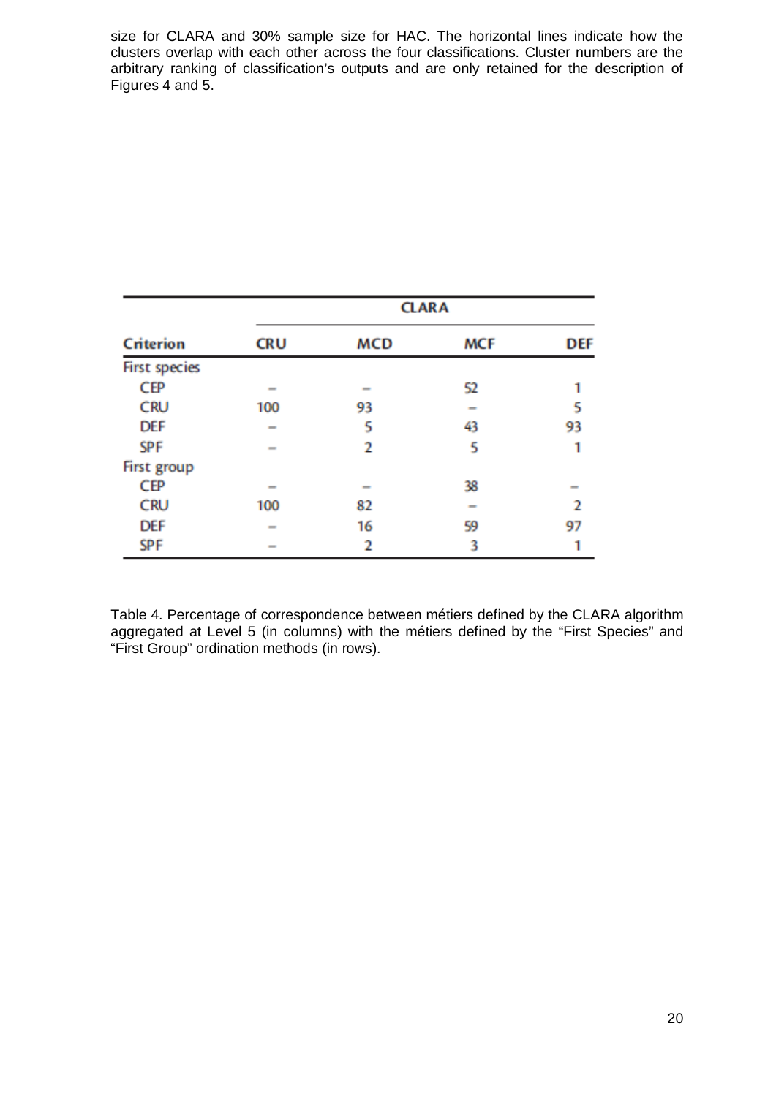size for CLARA and 30% sample size for HAC. The horizontal lines indicate how the clusters overlap with each other across the four classifications. Cluster numbers are the arbitrary ranking of classification's outputs and are only retained for the description of Figures 4 and 5.

|                      | <b>CLARA</b>             |                          |                          |                          |  |  |  |  |  |
|----------------------|--------------------------|--------------------------|--------------------------|--------------------------|--|--|--|--|--|
| Criterion            | <b>CRU</b>               | <b>MCD</b>               | <b>MCF</b>               | <b>DEF</b>               |  |  |  |  |  |
| <b>First species</b> |                          |                          |                          |                          |  |  |  |  |  |
| CEP                  | $\equiv$                 | $\overline{\phantom{a}}$ | 52                       |                          |  |  |  |  |  |
| <b>CRU</b>           | 100                      | 93                       | $\overline{\phantom{a}}$ | 5                        |  |  |  |  |  |
| <b>DEF</b>           | $\equiv$                 | 5                        | 43                       | 93                       |  |  |  |  |  |
| <b>SPF</b>           | $\overline{\phantom{a}}$ | 2                        | 5                        |                          |  |  |  |  |  |
| First group          |                          |                          |                          |                          |  |  |  |  |  |
| CEP                  | $\overline{\phantom{a}}$ | $\equiv$                 | 38                       | $\overline{\phantom{a}}$ |  |  |  |  |  |
| <b>CRU</b>           | 100                      | 82                       | $\overline{\phantom{a}}$ | I.                       |  |  |  |  |  |
| <b>DEF</b>           | $\overline{\phantom{a}}$ | 16                       | 59                       | 97                       |  |  |  |  |  |
| <b>SPF</b>           | $\overline{\phantom{a}}$ | 2                        | 3                        |                          |  |  |  |  |  |

Table 4. Percentage of correspondence between métiers defined by the CLARA algorithm aggregated at Level 5 (in columns) with the métiers defined by the "First Species" and "First Group" ordination methods (in rows).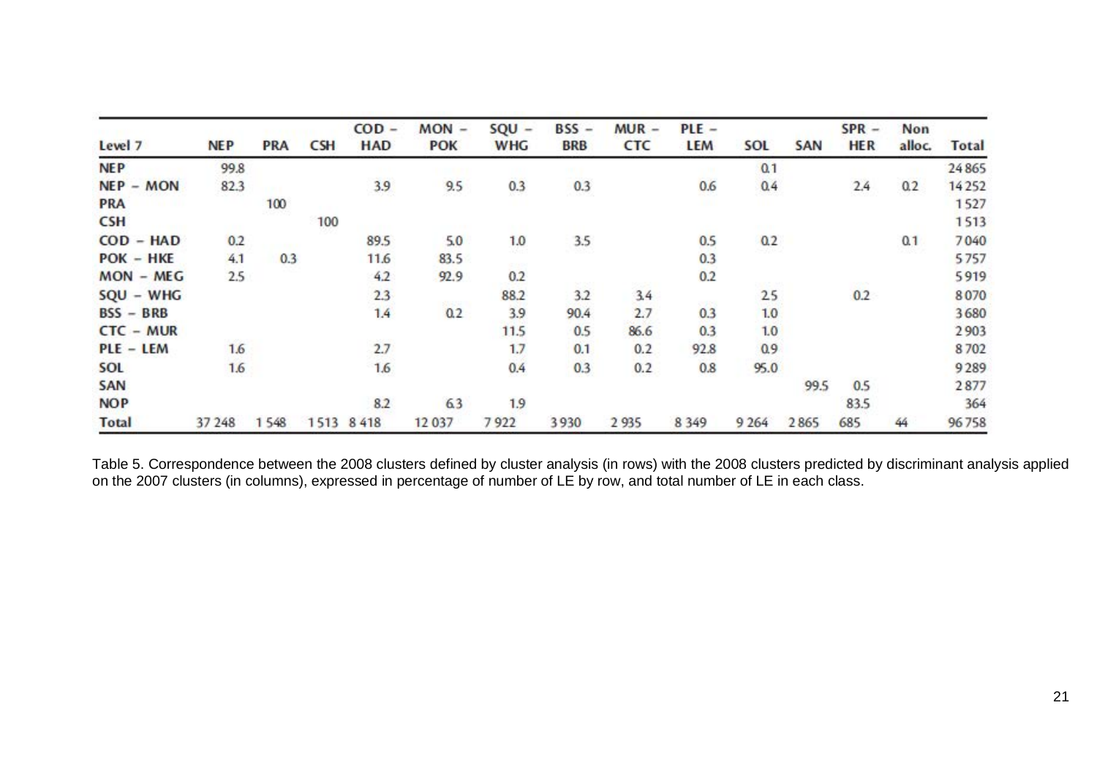| Level 7      | <b>NEP</b> | <b>PRA</b> | <b>CSH</b> | $COD -$<br><b>HAD</b> | $MON -$<br><b>POK</b> | $SQU -$<br><b>WHG</b> | $BSS -$<br><b>BRB</b> | $MUR -$<br><b>CTC</b> | $PLE -$<br>LEM | SOL     | <b>SAN</b> | $SPR -$<br><b>HER</b> | Non<br>alloc. | <b>Total</b> |
|--------------|------------|------------|------------|-----------------------|-----------------------|-----------------------|-----------------------|-----------------------|----------------|---------|------------|-----------------------|---------------|--------------|
| <b>NEP</b>   | 99.8       |            |            |                       |                       |                       |                       |                       |                | 0.1     |            |                       |               | 24865        |
| $NEP - MON$  | 82.3       |            |            | 3.9                   | 9.5                   | 0.3                   | 0.3                   |                       | 0.6            | 0.4     |            | 2.4                   | 0.2           | 14252        |
| <b>PRA</b>   |            | 100        |            |                       |                       |                       |                       |                       |                |         |            |                       |               | 1527         |
| <b>CSH</b>   |            |            | 100        |                       |                       |                       |                       |                       |                |         |            |                       |               | 1513         |
| $COD - HAD$  | 0.2        |            |            | 89.5                  | 5.0                   | 1.0                   | 3.5                   |                       | 0.5            | 0.2     |            |                       | 0.1           | 7040         |
| $POK - HKE$  | 4.1        | 0.3        |            | 11.6                  | 83.5                  |                       |                       |                       | 0.3            | -92     |            |                       |               | 5757         |
| $MON - MEG$  | 2.5        |            |            | 4.2                   | 92.9                  | 0.2                   |                       |                       | 0.2            |         |            |                       |               | 5919         |
| $SQU - WHG$  |            |            |            | 2.3                   |                       | 88.2                  | 3.2                   | 3.4                   |                | 25      |            | 0.2                   |               | 8070         |
| $BSS - BRB$  |            |            |            | 1.4                   | 0.2                   | 3.9                   | 90.4                  | 2.7                   | 0.3            | 1.0     |            |                       |               | 3680         |
| $CTC - MUR$  |            |            |            |                       |                       | 11.5                  | 0.5                   | 86.6                  | 0.3            | 1.0     |            |                       |               | 2903         |
| PLE - LEM    | 1.6        |            |            | 2.7                   |                       | 1.7                   | 0.1                   | 0.2                   | 92.8           | 0.9     |            |                       |               | 8702         |
| SOL          | 1.6        |            |            | 1.6                   |                       | 0.4                   | 0.3                   | 0.2                   | 0.8            | 95.0    |            |                       |               | 9289         |
| SAN          |            |            |            |                       |                       |                       |                       |                       |                |         | 99.5       | 0.5                   |               | 2877         |
| <b>NOP</b>   |            |            |            | 8.2                   | 63                    | 1.9                   |                       |                       |                |         |            | 83.5                  |               | 364          |
| <b>Total</b> | 37 248     | 1548       | 1513       | 8418                  | 12 037                | 7922                  | 3930                  | 2 9 3 5               | 8 3 4 9        | 9 2 6 4 | 2865       | 685                   | 44            | 96758        |

Table 5. Correspondence between the 2008 clusters defined by cluster analysis (in rows) with the 2008 clusters predicted by discriminant analysis applied on the 2007 clusters (in columns), expressed in percentage of number of LE by row, and total number of LE in each class.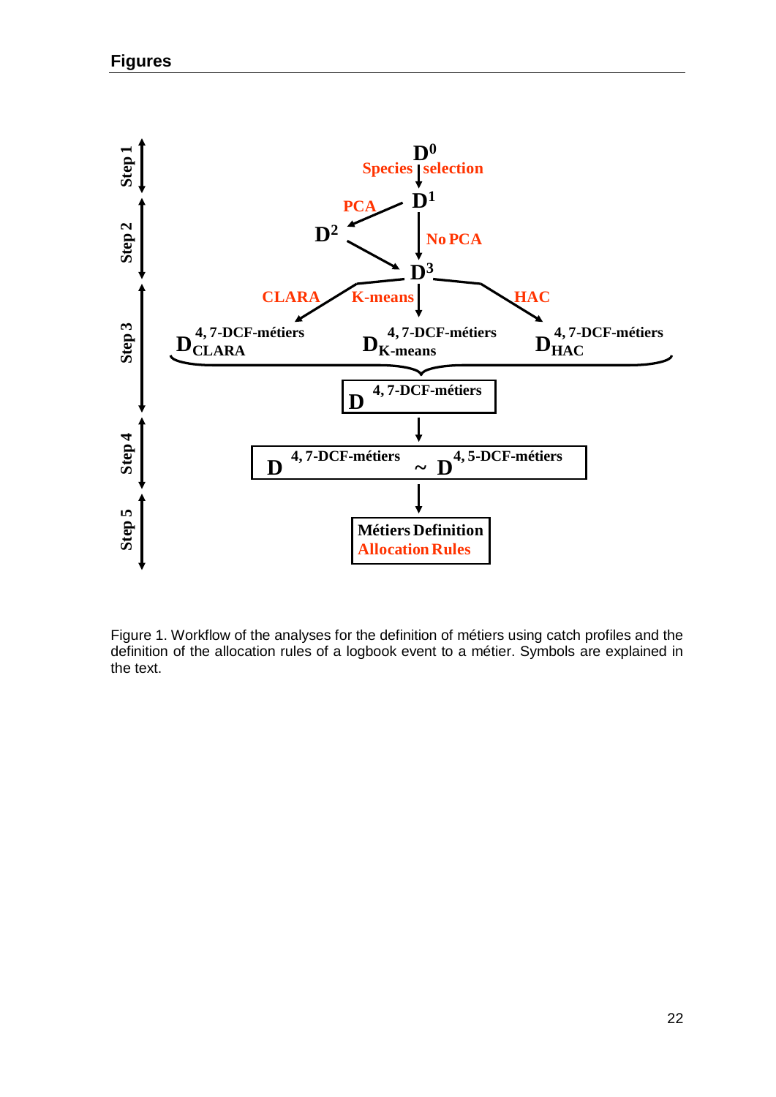

Figure 1. Workflow of the analyses for the definition of métiers using catch profiles and the definition of the allocation rules of a logbook event to a métier. Symbols are explained in the text.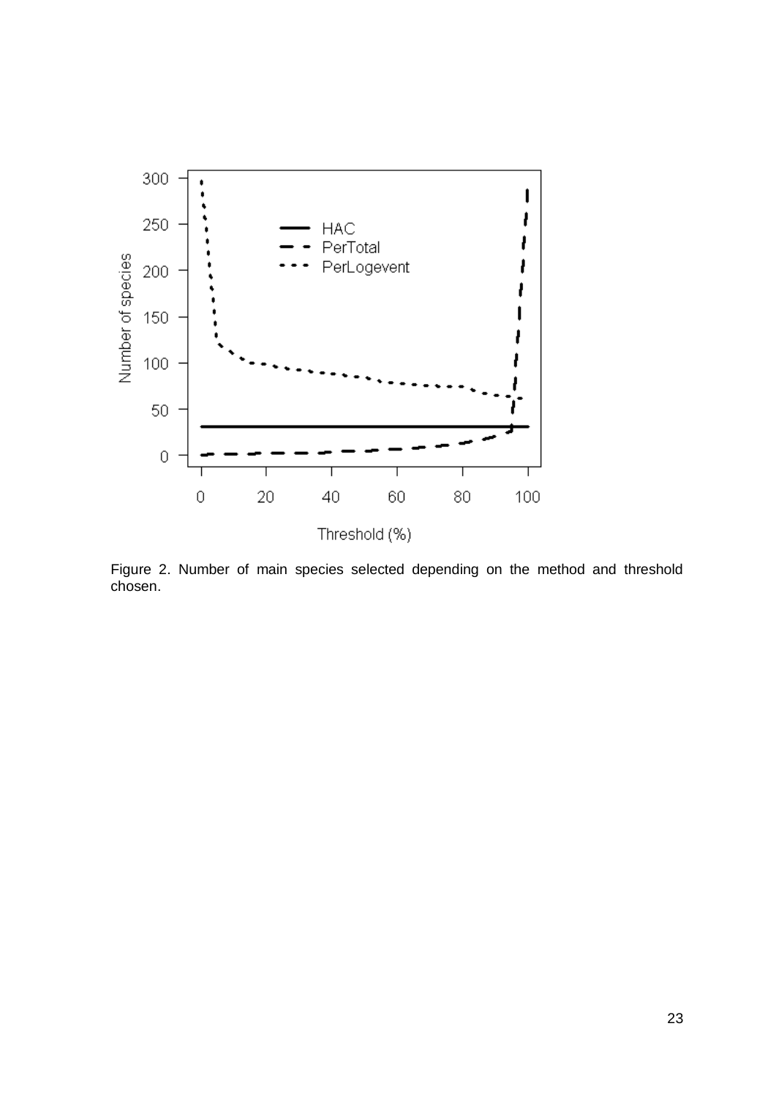

Figure 2. Number of main species selected depending on the method and threshold chosen.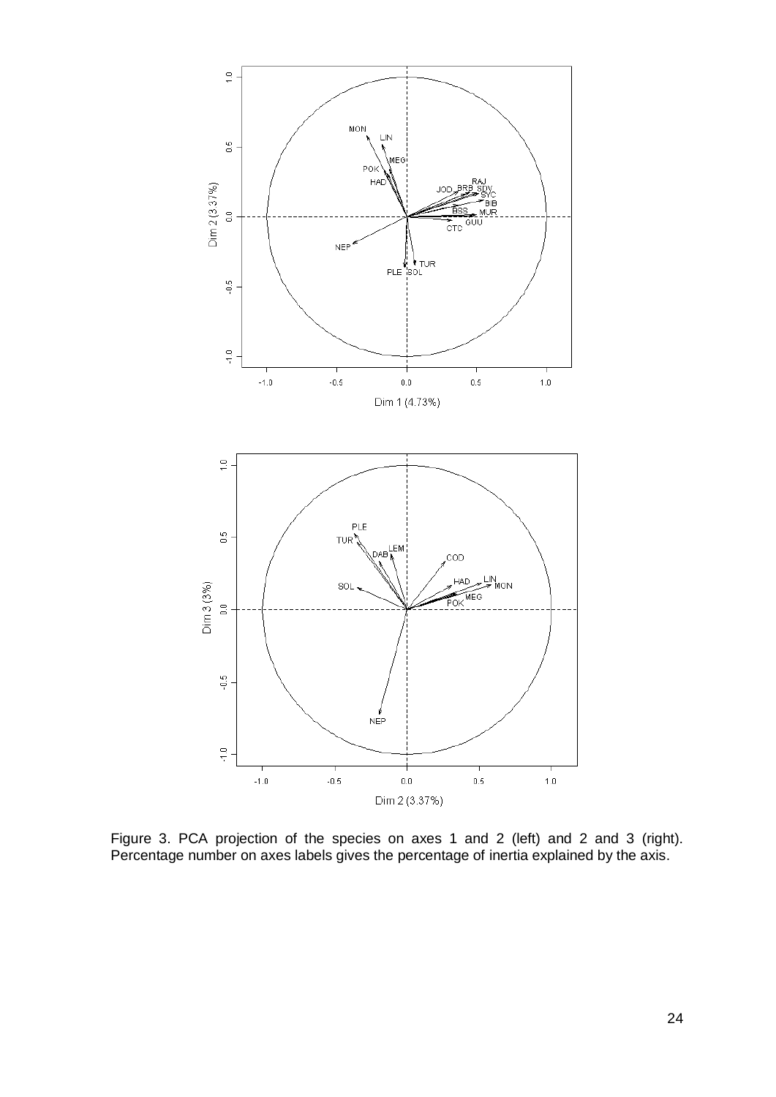

Figure 3. PCA projection of the species on axes 1 and 2 (left) and 2 and 3 (right). Percentage number on axes labels gives the percentage of inertia explained by the axis.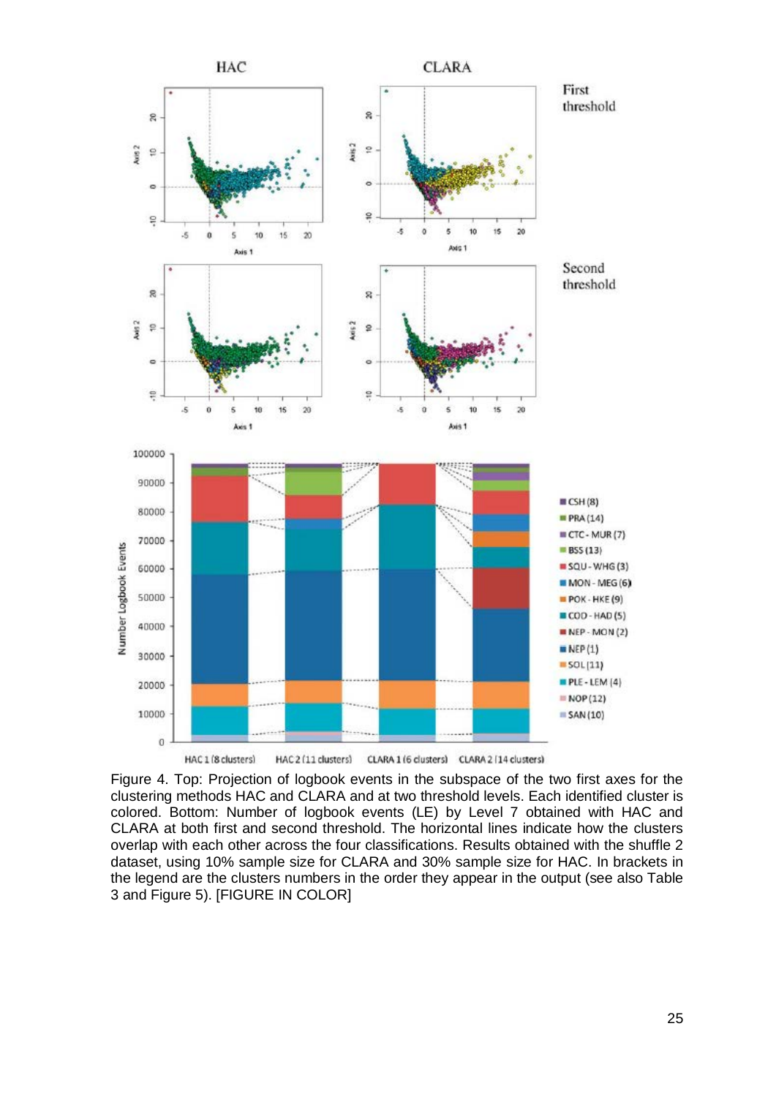

Figure 4. Top: Projection of logbook events in the subspace of the two first axes for the clustering methods HAC and CLARA and at two threshold levels. Each identified cluster is colored. Bottom: Number of logbook events (LE) by Level 7 obtained with HAC and CLARA at both first and second threshold. The horizontal lines indicate how the clusters overlap with each other across the four classifications. Results obtained with the shuffle 2 dataset, using 10% sample size for CLARA and 30% sample size for HAC. In brackets in the legend are the clusters numbers in the order they appear in the output (see also Table 3 and Figure 5). [FIGURE IN COLOR]